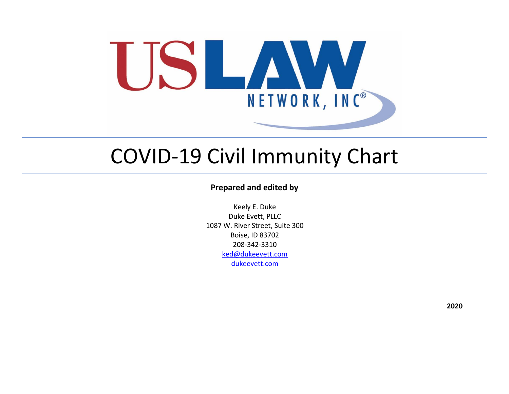

## COVID-19 Civil Immunity Chart

## **Prepared and edited by**

Keely E. Duke Duke Evett, PLLC 1087 W. River Street, Suite 300 Boise, ID 83702 208-342-3310 [ked@dukeevett.com](mailto:ked@dukeevett.com) [dukeevett.com](https://dukeevett.com/)

**2020**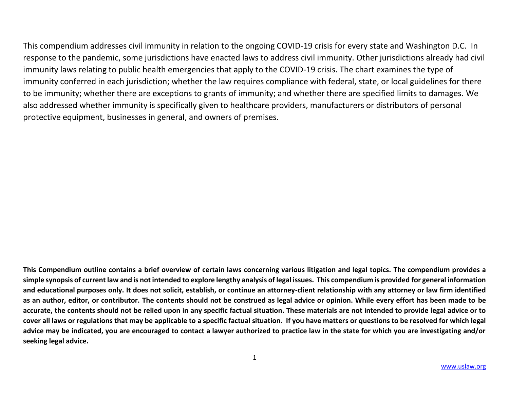This compendium addresses civil immunity in relation to the ongoing COVID-19 crisis for every state and Washington D.C. In response to the pandemic, some jurisdictions have enacted laws to address civil immunity. Other jurisdictions already had civil immunity laws relating to public health emergencies that apply to the COVID-19 crisis. The chart examines the type of immunity conferred in each jurisdiction; whether the law requires compliance with federal, state, or local guidelines for there to be immunity; whether there are exceptions to grants of immunity; and whether there are specified limits to damages. We also addressed whether immunity is specifically given to healthcare providers, manufacturers or distributors of personal protective equipment, businesses in general, and owners of premises.

**This Compendium outline contains a brief overview of certain laws concerning various litigation and legal topics. The compendium provides a simple synopsis of current law and is not intended to explore lengthy analysis of legal issues. This compendium is provided for general information and educational purposes only. It does not solicit, establish, or continue an attorney-client relationship with any attorney or law firm identified as an author, editor, or contributor. The contents should not be construed as legal advice or opinion. While every effort has been made to be accurate, the contents should not be relied upon in any specific factual situation. These materials are not intended to provide legal advice or to cover all laws or regulations that may be applicable to a specific factual situation. If you have matters or questions to be resolved for which legal advice may be indicated, you are encouraged to contact a lawyer authorized to practice law in the state for which you are investigating and/or seeking legal advice.**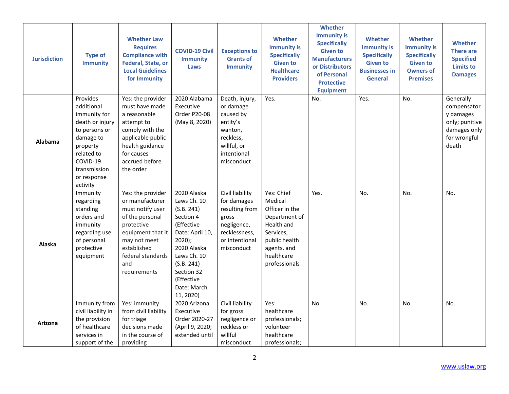| <b>Jurisdiction</b> | <b>Type of</b><br><b>Immunity</b>                                                                                                                                        | <b>Whether Law</b><br><b>Requires</b><br><b>Compliance with</b><br><b>Federal, State, or</b><br><b>Local Guidelines</b><br>for Immunity                                                   | <b>COVID-19 Civil</b><br><b>Immunity</b><br>Laws                                                                                                                                                        | <b>Exceptions to</b><br><b>Grants of</b><br><b>Immunity</b>                                                               | <b>Whether</b><br><b>Immunity is</b><br><b>Specifically</b><br><b>Given to</b><br><b>Healthcare</b><br><b>Providers</b>                            | Whether<br><b>Immunity is</b><br><b>Specifically</b><br><b>Given to</b><br><b>Manufacturers</b><br>or Distributors<br>of Personal<br><b>Protective</b><br><b>Equipment</b> | <b>Whether</b><br><b>Immunity is</b><br><b>Specifically</b><br><b>Given to</b><br><b>Businesses in</b><br><b>General</b> | Whether<br><b>Immunity is</b><br><b>Specifically</b><br><b>Given to</b><br><b>Owners of</b><br><b>Premises</b> | Whether<br><b>There are</b><br><b>Specified</b><br><b>Limits to</b><br><b>Damages</b>            |
|---------------------|--------------------------------------------------------------------------------------------------------------------------------------------------------------------------|-------------------------------------------------------------------------------------------------------------------------------------------------------------------------------------------|---------------------------------------------------------------------------------------------------------------------------------------------------------------------------------------------------------|---------------------------------------------------------------------------------------------------------------------------|----------------------------------------------------------------------------------------------------------------------------------------------------|----------------------------------------------------------------------------------------------------------------------------------------------------------------------------|--------------------------------------------------------------------------------------------------------------------------|----------------------------------------------------------------------------------------------------------------|--------------------------------------------------------------------------------------------------|
| <b>Alabama</b>      | Provides<br>additional<br>immunity for<br>death or injury<br>to persons or<br>damage to<br>property<br>related to<br>COVID-19<br>transmission<br>or response<br>activity | Yes: the provider<br>must have made<br>a reasonable<br>attempt to<br>comply with the<br>applicable public<br>health guidance<br>for causes<br>accrued before<br>the order                 | 2020 Alabama<br>Executive<br>Order P20-08<br>(May 8, 2020)                                                                                                                                              | Death, injury,<br>or damage<br>caused by<br>entity's<br>wanton,<br>reckless,<br>willful, or<br>intentional<br>misconduct  | Yes.                                                                                                                                               | No.                                                                                                                                                                        | Yes.                                                                                                                     | No.                                                                                                            | Generally<br>compensator<br>y damages<br>only; punitive<br>damages only<br>for wrongful<br>death |
| Alaska              | Immunity<br>regarding<br>standing<br>orders and<br>immunity<br>regarding use<br>of personal<br>protective<br>equipment                                                   | Yes: the provider<br>or manufacturer<br>must notify user<br>of the personal<br>protective<br>equipment that it<br>may not meet<br>established<br>federal standards<br>and<br>requirements | 2020 Alaska<br>Laws Ch. 10<br>(S.B. 241)<br>Section 4<br>(Effective<br>Date: April 10,<br>$2020$ );<br>2020 Alaska<br>Laws Ch. 10<br>(S.B. 241)<br>Section 32<br>(Effective<br>Date: March<br>11, 2020) | Civil liability<br>for damages<br>resulting from<br>gross<br>negligence,<br>recklessness,<br>or intentional<br>misconduct | Yes: Chief<br>Medical<br>Officer in the<br>Department of<br>Health and<br>Services,<br>public health<br>agents, and<br>healthcare<br>professionals | Yes.                                                                                                                                                                       | No.                                                                                                                      | No.                                                                                                            | No.                                                                                              |
| <b>Arizona</b>      | Immunity from<br>civil liability in<br>the provision<br>of healthcare<br>services in<br>support of the                                                                   | Yes: immunity<br>from civil liability<br>for triage<br>decisions made<br>in the course of<br>providing                                                                                    | 2020 Arizona<br>Executive<br>Order 2020-27<br>(April 9, 2020;<br>extended until                                                                                                                         | Civil liability<br>for gross<br>negligence or<br>reckless or<br>willful<br>misconduct                                     | Yes:<br>healthcare<br>professionals;<br>volunteer<br>healthcare<br>professionals;                                                                  | No.                                                                                                                                                                        | No.                                                                                                                      | No.                                                                                                            | No.                                                                                              |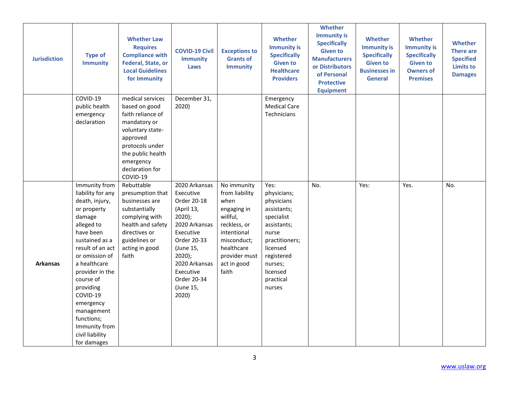| <b>Jurisdiction</b> | <b>Type of</b><br><b>Immunity</b>                                                                                                                                                                                                                                                                                                     | <b>Whether Law</b><br><b>Requires</b><br><b>Compliance with</b><br>Federal, State, or<br><b>Local Guidelines</b><br>for Immunity                                                           | <b>COVID-19 Civil</b><br><b>Immunity</b><br>Laws                                                                                                                                                               | <b>Exceptions to</b><br><b>Grants of</b><br><b>Immunity</b>                                                                                                           | <b>Whether</b><br><b>Immunity is</b><br><b>Specifically</b><br><b>Given to</b><br><b>Healthcare</b><br><b>Providers</b>                                                          | Whether<br><b>Immunity is</b><br><b>Specifically</b><br><b>Given to</b><br><b>Manufacturers</b><br>or Distributors<br>of Personal<br><b>Protective</b><br><b>Equipment</b> | Whether<br><b>Immunity is</b><br><b>Specifically</b><br><b>Given to</b><br><b>Businesses in</b><br><b>General</b> | <b>Whether</b><br><b>Immunity is</b><br><b>Specifically</b><br><b>Given to</b><br><b>Owners of</b><br><b>Premises</b> | Whether<br><b>There are</b><br><b>Specified</b><br><b>Limits to</b><br><b>Damages</b> |
|---------------------|---------------------------------------------------------------------------------------------------------------------------------------------------------------------------------------------------------------------------------------------------------------------------------------------------------------------------------------|--------------------------------------------------------------------------------------------------------------------------------------------------------------------------------------------|----------------------------------------------------------------------------------------------------------------------------------------------------------------------------------------------------------------|-----------------------------------------------------------------------------------------------------------------------------------------------------------------------|----------------------------------------------------------------------------------------------------------------------------------------------------------------------------------|----------------------------------------------------------------------------------------------------------------------------------------------------------------------------|-------------------------------------------------------------------------------------------------------------------|-----------------------------------------------------------------------------------------------------------------------|---------------------------------------------------------------------------------------|
|                     | COVID-19<br>public health<br>emergency<br>declaration                                                                                                                                                                                                                                                                                 | medical services<br>based on good<br>faith reliance of<br>mandatory or<br>voluntary state-<br>approved<br>protocols under<br>the public health<br>emergency<br>declaration for<br>COVID-19 | December 31,<br>2020)                                                                                                                                                                                          |                                                                                                                                                                       | Emergency<br><b>Medical Care</b><br>Technicians                                                                                                                                  |                                                                                                                                                                            |                                                                                                                   |                                                                                                                       |                                                                                       |
| <b>Arkansas</b>     | Immunity from<br>liability for any<br>death, injury,<br>or property<br>damage<br>alleged to<br>have been<br>sustained as a<br>result of an act<br>or omission of<br>a healthcare<br>provider in the<br>course of<br>providing<br>COVID-19<br>emergency<br>management<br>functions;<br>Immunity from<br>civil liability<br>for damages | Rebuttable<br>presumption that<br>businesses are<br>substantially<br>complying with<br>health and safety<br>directives or<br>guidelines or<br>acting in good<br>faith                      | 2020 Arkansas<br>Executive<br>Order 20-18<br>(April 13,<br>$2020$ );<br>2020 Arkansas<br>Executive<br>Order 20-33<br>(June 15,<br>$2020$ );<br>2020 Arkansas<br>Executive<br>Order 20-34<br>(June 15,<br>2020) | No immunity<br>from liability<br>when<br>engaging in<br>willful,<br>reckless, or<br>intentional<br>misconduct;<br>healthcare<br>provider must<br>act in good<br>faith | Yes:<br>physicians;<br>physicians<br>assistants;<br>specialist<br>assistants;<br>nurse<br>practitioners;<br>licensed<br>registered<br>nurses;<br>licensed<br>practical<br>nurses | No.                                                                                                                                                                        | Yes:                                                                                                              | Yes.                                                                                                                  | No.                                                                                   |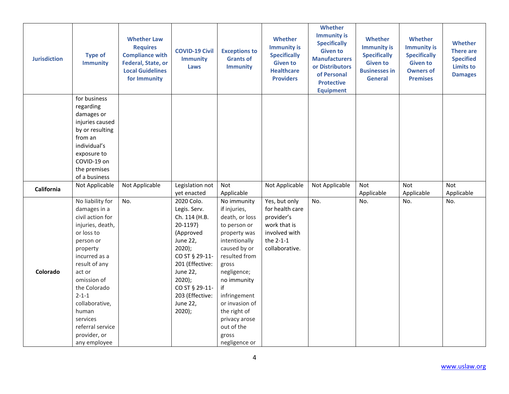| <b>Jurisdiction</b> | <b>Type of</b><br><b>Immunity</b>                                                                                                                                                                                                                                                                    | <b>Whether Law</b><br><b>Requires</b><br><b>Compliance with</b><br>Federal, State, or<br><b>Local Guidelines</b><br>for Immunity | <b>COVID-19 Civil</b><br><b>Immunity</b><br>Laws                                                                                                                                                                          | <b>Exceptions to</b><br><b>Grants of</b><br><b>Immunity</b>                                                                                                                                                                                                                             | Whether<br><b>Immunity is</b><br><b>Specifically</b><br><b>Given to</b><br><b>Healthcare</b><br><b>Providers</b> | Whether<br><b>Immunity is</b><br><b>Specifically</b><br><b>Given to</b><br><b>Manufacturers</b><br>or Distributors<br>of Personal<br><b>Protective</b><br><b>Equipment</b> | Whether<br><b>Immunity is</b><br><b>Specifically</b><br><b>Given to</b><br><b>Businesses in</b><br><b>General</b> | Whether<br><b>Immunity is</b><br><b>Specifically</b><br><b>Given to</b><br><b>Owners of</b><br><b>Premises</b> | <b>Whether</b><br><b>There are</b><br><b>Specified</b><br><b>Limits to</b><br><b>Damages</b> |
|---------------------|------------------------------------------------------------------------------------------------------------------------------------------------------------------------------------------------------------------------------------------------------------------------------------------------------|----------------------------------------------------------------------------------------------------------------------------------|---------------------------------------------------------------------------------------------------------------------------------------------------------------------------------------------------------------------------|-----------------------------------------------------------------------------------------------------------------------------------------------------------------------------------------------------------------------------------------------------------------------------------------|------------------------------------------------------------------------------------------------------------------|----------------------------------------------------------------------------------------------------------------------------------------------------------------------------|-------------------------------------------------------------------------------------------------------------------|----------------------------------------------------------------------------------------------------------------|----------------------------------------------------------------------------------------------|
|                     | for business<br>regarding<br>damages or<br>injuries caused<br>by or resulting<br>from an<br>individual's<br>exposure to<br>COVID-19 on<br>the premises<br>of a business                                                                                                                              |                                                                                                                                  |                                                                                                                                                                                                                           |                                                                                                                                                                                                                                                                                         |                                                                                                                  |                                                                                                                                                                            |                                                                                                                   |                                                                                                                |                                                                                              |
| California          | Not Applicable                                                                                                                                                                                                                                                                                       | Not Applicable                                                                                                                   | Legislation not<br>yet enacted                                                                                                                                                                                            | Not<br>Applicable                                                                                                                                                                                                                                                                       | Not Applicable                                                                                                   | Not Applicable                                                                                                                                                             | <b>Not</b><br>Applicable                                                                                          | <b>Not</b><br>Applicable                                                                                       | <b>Not</b><br>Applicable                                                                     |
| Colorado            | No liability for<br>damages in a<br>civil action for<br>injuries, death,<br>or loss to<br>person or<br>property<br>incurred as a<br>result of any<br>act or<br>omission of<br>the Colorado<br>$2 - 1 - 1$<br>collaborative,<br>human<br>services<br>referral service<br>provider, or<br>any employee | No.                                                                                                                              | 2020 Colo.<br>Legis. Serv.<br>Ch. 114 (H.B.<br>20-1197)<br>(Approved<br>June 22,<br>$2020$ );<br>CO ST § 29-11-<br>201 (Effective:<br>June 22,<br>$2020$ );<br>CO ST § 29-11-<br>203 (Effective:<br>June 22,<br>$2020$ ); | No immunity<br>if injuries,<br>death, or loss<br>to person or<br>property was<br>intentionally<br>caused by or<br>resulted from<br>gross<br>negligence;<br>no immunity<br>if<br>infringement<br>or invasion of<br>the right of<br>privacy arose<br>out of the<br>gross<br>negligence or | Yes, but only<br>for health care<br>provider's<br>work that is<br>involved with<br>the 2-1-1<br>collaborative.   | No.                                                                                                                                                                        | No.                                                                                                               | No.                                                                                                            | No.                                                                                          |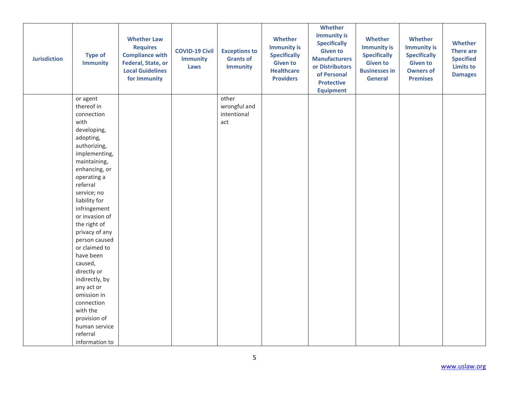| <b>Jurisdiction</b> | <b>Type of</b><br><b>Immunity</b> | <b>Whether Law</b><br><b>Requires</b><br><b>Compliance with</b><br><b>Federal, State, or</b><br><b>Local Guidelines</b><br>for Immunity | <b>COVID-19 Civil</b><br><b>Immunity</b><br>Laws | <b>Exceptions to</b><br><b>Grants of</b><br><b>Immunity</b> | <b>Whether</b><br><b>Immunity is</b><br><b>Specifically</b><br><b>Given to</b><br><b>Healthcare</b><br><b>Providers</b> | Whether<br><b>Immunity is</b><br><b>Specifically</b><br><b>Given to</b><br><b>Manufacturers</b><br>or Distributors<br>of Personal<br><b>Protective</b><br><b>Equipment</b> | Whether<br><b>Immunity is</b><br><b>Specifically</b><br><b>Given to</b><br><b>Businesses in</b><br><b>General</b> | Whether<br><b>Immunity is</b><br><b>Specifically</b><br><b>Given to</b><br><b>Owners of</b><br><b>Premises</b> | <b>Whether</b><br><b>There are</b><br><b>Specified</b><br><b>Limits to</b><br><b>Damages</b> |
|---------------------|-----------------------------------|-----------------------------------------------------------------------------------------------------------------------------------------|--------------------------------------------------|-------------------------------------------------------------|-------------------------------------------------------------------------------------------------------------------------|----------------------------------------------------------------------------------------------------------------------------------------------------------------------------|-------------------------------------------------------------------------------------------------------------------|----------------------------------------------------------------------------------------------------------------|----------------------------------------------------------------------------------------------|
|                     | or agent                          |                                                                                                                                         |                                                  | other                                                       |                                                                                                                         |                                                                                                                                                                            |                                                                                                                   |                                                                                                                |                                                                                              |
|                     | thereof in                        |                                                                                                                                         |                                                  | wrongful and                                                |                                                                                                                         |                                                                                                                                                                            |                                                                                                                   |                                                                                                                |                                                                                              |
|                     | connection                        |                                                                                                                                         |                                                  | intentional                                                 |                                                                                                                         |                                                                                                                                                                            |                                                                                                                   |                                                                                                                |                                                                                              |
|                     | with                              |                                                                                                                                         |                                                  | act                                                         |                                                                                                                         |                                                                                                                                                                            |                                                                                                                   |                                                                                                                |                                                                                              |
|                     | developing,                       |                                                                                                                                         |                                                  |                                                             |                                                                                                                         |                                                                                                                                                                            |                                                                                                                   |                                                                                                                |                                                                                              |
|                     | adopting,                         |                                                                                                                                         |                                                  |                                                             |                                                                                                                         |                                                                                                                                                                            |                                                                                                                   |                                                                                                                |                                                                                              |
|                     | authorizing,                      |                                                                                                                                         |                                                  |                                                             |                                                                                                                         |                                                                                                                                                                            |                                                                                                                   |                                                                                                                |                                                                                              |
|                     | implementing,                     |                                                                                                                                         |                                                  |                                                             |                                                                                                                         |                                                                                                                                                                            |                                                                                                                   |                                                                                                                |                                                                                              |
|                     | maintaining,                      |                                                                                                                                         |                                                  |                                                             |                                                                                                                         |                                                                                                                                                                            |                                                                                                                   |                                                                                                                |                                                                                              |
|                     | enhancing, or<br>operating a      |                                                                                                                                         |                                                  |                                                             |                                                                                                                         |                                                                                                                                                                            |                                                                                                                   |                                                                                                                |                                                                                              |
|                     | referral                          |                                                                                                                                         |                                                  |                                                             |                                                                                                                         |                                                                                                                                                                            |                                                                                                                   |                                                                                                                |                                                                                              |
|                     | service; no                       |                                                                                                                                         |                                                  |                                                             |                                                                                                                         |                                                                                                                                                                            |                                                                                                                   |                                                                                                                |                                                                                              |
|                     | liability for                     |                                                                                                                                         |                                                  |                                                             |                                                                                                                         |                                                                                                                                                                            |                                                                                                                   |                                                                                                                |                                                                                              |
|                     | infringement                      |                                                                                                                                         |                                                  |                                                             |                                                                                                                         |                                                                                                                                                                            |                                                                                                                   |                                                                                                                |                                                                                              |
|                     | or invasion of                    |                                                                                                                                         |                                                  |                                                             |                                                                                                                         |                                                                                                                                                                            |                                                                                                                   |                                                                                                                |                                                                                              |
|                     | the right of                      |                                                                                                                                         |                                                  |                                                             |                                                                                                                         |                                                                                                                                                                            |                                                                                                                   |                                                                                                                |                                                                                              |
|                     | privacy of any                    |                                                                                                                                         |                                                  |                                                             |                                                                                                                         |                                                                                                                                                                            |                                                                                                                   |                                                                                                                |                                                                                              |
|                     | person caused                     |                                                                                                                                         |                                                  |                                                             |                                                                                                                         |                                                                                                                                                                            |                                                                                                                   |                                                                                                                |                                                                                              |
|                     | or claimed to                     |                                                                                                                                         |                                                  |                                                             |                                                                                                                         |                                                                                                                                                                            |                                                                                                                   |                                                                                                                |                                                                                              |
|                     | have been                         |                                                                                                                                         |                                                  |                                                             |                                                                                                                         |                                                                                                                                                                            |                                                                                                                   |                                                                                                                |                                                                                              |
|                     | caused,                           |                                                                                                                                         |                                                  |                                                             |                                                                                                                         |                                                                                                                                                                            |                                                                                                                   |                                                                                                                |                                                                                              |
|                     | directly or                       |                                                                                                                                         |                                                  |                                                             |                                                                                                                         |                                                                                                                                                                            |                                                                                                                   |                                                                                                                |                                                                                              |
|                     | indirectly, by                    |                                                                                                                                         |                                                  |                                                             |                                                                                                                         |                                                                                                                                                                            |                                                                                                                   |                                                                                                                |                                                                                              |
|                     | any act or                        |                                                                                                                                         |                                                  |                                                             |                                                                                                                         |                                                                                                                                                                            |                                                                                                                   |                                                                                                                |                                                                                              |
|                     | omission in                       |                                                                                                                                         |                                                  |                                                             |                                                                                                                         |                                                                                                                                                                            |                                                                                                                   |                                                                                                                |                                                                                              |
|                     | connection                        |                                                                                                                                         |                                                  |                                                             |                                                                                                                         |                                                                                                                                                                            |                                                                                                                   |                                                                                                                |                                                                                              |
|                     | with the                          |                                                                                                                                         |                                                  |                                                             |                                                                                                                         |                                                                                                                                                                            |                                                                                                                   |                                                                                                                |                                                                                              |
|                     | provision of                      |                                                                                                                                         |                                                  |                                                             |                                                                                                                         |                                                                                                                                                                            |                                                                                                                   |                                                                                                                |                                                                                              |
|                     | human service                     |                                                                                                                                         |                                                  |                                                             |                                                                                                                         |                                                                                                                                                                            |                                                                                                                   |                                                                                                                |                                                                                              |
|                     | referral                          |                                                                                                                                         |                                                  |                                                             |                                                                                                                         |                                                                                                                                                                            |                                                                                                                   |                                                                                                                |                                                                                              |
|                     | information to                    |                                                                                                                                         |                                                  |                                                             |                                                                                                                         |                                                                                                                                                                            |                                                                                                                   |                                                                                                                |                                                                                              |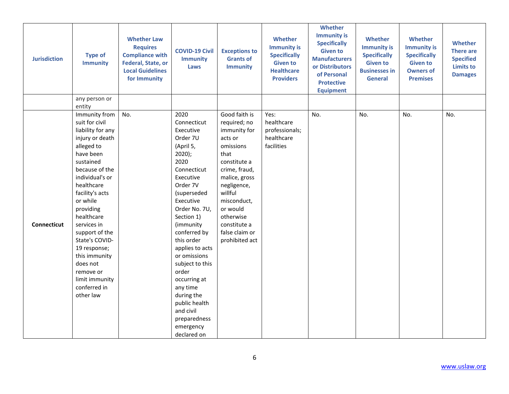| <b>Jurisdiction</b> | <b>Type of</b><br><b>Immunity</b><br>any person or                                                                                                                                                                                                                                                                                                                                       | <b>Whether Law</b><br><b>Requires</b><br><b>Compliance with</b><br><b>Federal, State, or</b><br><b>Local Guidelines</b><br>for Immunity | <b>COVID-19 Civil</b><br><b>Immunity</b><br>Laws                                                                                                                                                                                                                                                                                                                                                                | <b>Exceptions to</b><br><b>Grants of</b><br><b>Immunity</b>                                                                                                                                                                                           | <b>Whether</b><br><b>Immunity is</b><br><b>Specifically</b><br><b>Given to</b><br><b>Healthcare</b><br><b>Providers</b> | Whether<br><b>Immunity is</b><br><b>Specifically</b><br><b>Given to</b><br><b>Manufacturers</b><br>or Distributors<br>of Personal<br><b>Protective</b><br><b>Equipment</b> | Whether<br><b>Immunity is</b><br><b>Specifically</b><br><b>Given to</b><br><b>Businesses in</b><br><b>General</b> | Whether<br><b>Immunity is</b><br><b>Specifically</b><br><b>Given to</b><br><b>Owners of</b><br><b>Premises</b> | Whether<br><b>There are</b><br><b>Specified</b><br><b>Limits to</b><br><b>Damages</b> |
|---------------------|------------------------------------------------------------------------------------------------------------------------------------------------------------------------------------------------------------------------------------------------------------------------------------------------------------------------------------------------------------------------------------------|-----------------------------------------------------------------------------------------------------------------------------------------|-----------------------------------------------------------------------------------------------------------------------------------------------------------------------------------------------------------------------------------------------------------------------------------------------------------------------------------------------------------------------------------------------------------------|-------------------------------------------------------------------------------------------------------------------------------------------------------------------------------------------------------------------------------------------------------|-------------------------------------------------------------------------------------------------------------------------|----------------------------------------------------------------------------------------------------------------------------------------------------------------------------|-------------------------------------------------------------------------------------------------------------------|----------------------------------------------------------------------------------------------------------------|---------------------------------------------------------------------------------------|
|                     | entity                                                                                                                                                                                                                                                                                                                                                                                   |                                                                                                                                         |                                                                                                                                                                                                                                                                                                                                                                                                                 |                                                                                                                                                                                                                                                       |                                                                                                                         |                                                                                                                                                                            |                                                                                                                   |                                                                                                                |                                                                                       |
| Connecticut         | Immunity from<br>suit for civil<br>liability for any<br>injury or death<br>alleged to<br>have been<br>sustained<br>because of the<br>individual's or<br>healthcare<br>facility's acts<br>or while<br>providing<br>healthcare<br>services in<br>support of the<br>State's COVID-<br>19 response;<br>this immunity<br>does not<br>remove or<br>limit immunity<br>conferred in<br>other law | No.                                                                                                                                     | 2020<br>Connecticut<br>Executive<br>Order 7U<br>(April 5,<br>$2020$ );<br>2020<br>Connecticut<br>Executive<br>Order 7V<br>(superseded<br>Executive<br>Order No. 7U,<br>Section 1)<br>(immunity<br>conferred by<br>this order<br>applies to acts<br>or omissions<br>subject to this<br>order<br>occurring at<br>any time<br>during the<br>public health<br>and civil<br>preparedness<br>emergency<br>declared on | Good faith is<br>required; no<br>immunity for<br>acts or<br>omissions<br>that<br>constitute a<br>crime, fraud,<br>malice, gross<br>negligence,<br>willful<br>misconduct,<br>or would<br>otherwise<br>constitute a<br>false claim or<br>prohibited act | Yes:<br>healthcare<br>professionals;<br>healthcare<br>facilities                                                        | No.                                                                                                                                                                        | No.                                                                                                               | No.                                                                                                            | No.                                                                                   |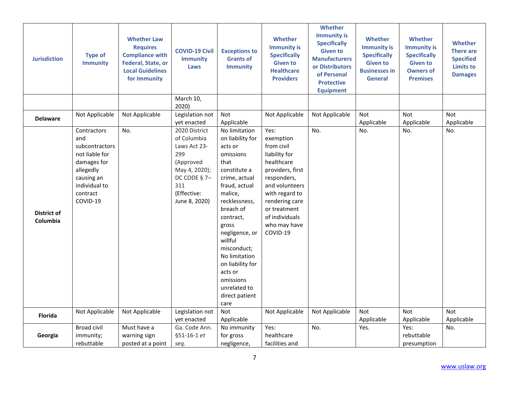| <b>Jurisdiction</b>     | <b>Type of</b><br><b>Immunity</b>                                                                                                         | <b>Whether Law</b><br><b>Requires</b><br><b>Compliance with</b><br>Federal, State, or<br><b>Local Guidelines</b><br>for Immunity | <b>COVID-19 Civil</b><br><b>Immunity</b><br>Laws                                                                                         | <b>Exceptions to</b><br><b>Grants of</b><br><b>Immunity</b>                                                                                                                                                                                                                                                                           | <b>Whether</b><br><b>Immunity is</b><br><b>Specifically</b><br><b>Given to</b><br><b>Healthcare</b><br><b>Providers</b>                                                                                               | Whether<br><b>Immunity is</b><br><b>Specifically</b><br><b>Given to</b><br><b>Manufacturers</b><br>or Distributors<br>of Personal<br><b>Protective</b><br><b>Equipment</b> | Whether<br><b>Immunity is</b><br><b>Specifically</b><br><b>Given to</b><br><b>Businesses in</b><br><b>General</b> | Whether<br><b>Immunity is</b><br><b>Specifically</b><br><b>Given to</b><br><b>Owners of</b><br><b>Premises</b> | Whether<br><b>There are</b><br><b>Specified</b><br><b>Limits to</b><br><b>Damages</b> |
|-------------------------|-------------------------------------------------------------------------------------------------------------------------------------------|----------------------------------------------------------------------------------------------------------------------------------|------------------------------------------------------------------------------------------------------------------------------------------|---------------------------------------------------------------------------------------------------------------------------------------------------------------------------------------------------------------------------------------------------------------------------------------------------------------------------------------|-----------------------------------------------------------------------------------------------------------------------------------------------------------------------------------------------------------------------|----------------------------------------------------------------------------------------------------------------------------------------------------------------------------|-------------------------------------------------------------------------------------------------------------------|----------------------------------------------------------------------------------------------------------------|---------------------------------------------------------------------------------------|
|                         |                                                                                                                                           |                                                                                                                                  | March 10,<br>2020)                                                                                                                       |                                                                                                                                                                                                                                                                                                                                       |                                                                                                                                                                                                                       |                                                                                                                                                                            |                                                                                                                   |                                                                                                                |                                                                                       |
| <b>Delaware</b>         | Not Applicable                                                                                                                            | Not Applicable                                                                                                                   | Legislation not<br>yet enacted                                                                                                           | Not<br>Applicable                                                                                                                                                                                                                                                                                                                     | Not Applicable                                                                                                                                                                                                        | Not Applicable                                                                                                                                                             | Not<br>Applicable                                                                                                 | Not<br>Applicable                                                                                              | Not<br>Applicable                                                                     |
| District of<br>Columbia | Contractors<br>and<br>subcontractors<br>not liable for<br>damages for<br>allegedly<br>causing an<br>individual to<br>contract<br>COVID-19 | No.                                                                                                                              | 2020 District<br>of Columbia<br>Laws Act 23-<br>299<br>(Approved<br>May 4, 2020);<br>DC CODE § 7-<br>311<br>(Effective:<br>June 8, 2020) | No limitation<br>on liability for<br>acts or<br>omissions<br>that<br>constitute a<br>crime, actual<br>fraud, actual<br>malice,<br>recklessness,<br>breach of<br>contract,<br>gross<br>negligence, or<br>willful<br>misconduct;<br>No limitation<br>on liability for<br>acts or<br>omissions<br>unrelated to<br>direct patient<br>care | Yes:<br>exemption<br>from civil<br>liability for<br>healthcare<br>providers, first<br>responders,<br>and volunteers<br>with regard to<br>rendering care<br>or treatment<br>of individuals<br>who may have<br>COVID-19 | No.                                                                                                                                                                        | No.                                                                                                               | No.                                                                                                            | No.                                                                                   |
| <b>Florida</b>          | Not Applicable                                                                                                                            | Not Applicable                                                                                                                   | Legislation not<br>vet enacted                                                                                                           | Not<br>Applicable                                                                                                                                                                                                                                                                                                                     | Not Applicable                                                                                                                                                                                                        | Not Applicable                                                                                                                                                             | Not<br>Applicable                                                                                                 | <b>Not</b><br>Applicable                                                                                       | <b>Not</b><br>Applicable                                                              |
| Georgia                 | <b>Broad civil</b><br>immunity;<br>rebuttable                                                                                             | Must have a<br>warning sign<br>posted at a point                                                                                 | Ga. Code Ann.<br>§51-16-1 et<br>seq.                                                                                                     | No immunity<br>for gross<br>negligence,                                                                                                                                                                                                                                                                                               | Yes:<br>healthcare<br>facilities and                                                                                                                                                                                  | No.                                                                                                                                                                        | Yes.                                                                                                              | Yes:<br>rebuttable<br>presumption                                                                              | No.                                                                                   |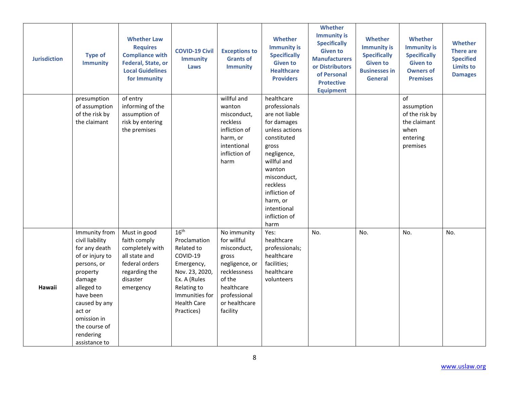| <b>Jurisdiction</b> | <b>Type of</b><br><b>Immunity</b>                                                                                                                                                                                             | <b>Whether Law</b><br><b>Requires</b><br><b>Compliance with</b><br>Federal, State, or<br><b>Local Guidelines</b><br>for Immunity | <b>COVID-19 Civil</b><br><b>Immunity</b><br>Laws                                                                                                                                | <b>Exceptions to</b><br><b>Grants of</b><br><b>Immunity</b>                                                                                               | <b>Whether</b><br><b>Immunity is</b><br><b>Specifically</b><br><b>Given to</b><br><b>Healthcare</b><br><b>Providers</b>                                                                                                                        | Whether<br><b>Immunity is</b><br><b>Specifically</b><br><b>Given to</b><br><b>Manufacturers</b><br>or Distributors<br>of Personal<br><b>Protective</b><br><b>Equipment</b> | <b>Whether</b><br><b>Immunity is</b><br><b>Specifically</b><br><b>Given to</b><br><b>Businesses in</b><br><b>General</b> | <b>Whether</b><br><b>Immunity is</b><br><b>Specifically</b><br><b>Given to</b><br><b>Owners of</b><br><b>Premises</b> | Whether<br><b>There are</b><br><b>Specified</b><br><b>Limits to</b><br><b>Damages</b> |
|---------------------|-------------------------------------------------------------------------------------------------------------------------------------------------------------------------------------------------------------------------------|----------------------------------------------------------------------------------------------------------------------------------|---------------------------------------------------------------------------------------------------------------------------------------------------------------------------------|-----------------------------------------------------------------------------------------------------------------------------------------------------------|------------------------------------------------------------------------------------------------------------------------------------------------------------------------------------------------------------------------------------------------|----------------------------------------------------------------------------------------------------------------------------------------------------------------------------|--------------------------------------------------------------------------------------------------------------------------|-----------------------------------------------------------------------------------------------------------------------|---------------------------------------------------------------------------------------|
|                     | presumption<br>of assumption<br>of the risk by<br>the claimant                                                                                                                                                                | of entry<br>informing of the<br>assumption of<br>risk by entering<br>the premises                                                |                                                                                                                                                                                 | willful and<br>wanton<br>misconduct,<br>reckless<br>infliction of<br>harm, or<br>intentional<br>infliction of<br>harm                                     | healthcare<br>professionals<br>are not liable<br>for damages<br>unless actions<br>constituted<br>gross<br>negligence,<br>willful and<br>wanton<br>misconduct,<br>reckless<br>infliction of<br>harm, or<br>intentional<br>infliction of<br>harm |                                                                                                                                                                            |                                                                                                                          | of<br>assumption<br>of the risk by<br>the claimant<br>when<br>entering<br>premises                                    |                                                                                       |
| Hawaii              | Immunity from<br>civil liability<br>for any death<br>of or injury to<br>persons, or<br>property<br>damage<br>alleged to<br>have been<br>caused by any<br>act or<br>omission in<br>the course of<br>rendering<br>assistance to | Must in good<br>faith comply<br>completely with<br>all state and<br>federal orders<br>regarding the<br>disaster<br>emergency     | 16 <sup>th</sup><br>Proclamation<br>Related to<br>COVID-19<br>Emergency,<br>Nov. 23, 2020,<br>Ex. A (Rules<br>Relating to<br>Immunities for<br><b>Health Care</b><br>Practices) | No immunity<br>for willful<br>misconduct,<br>gross<br>negligence, or<br>recklessness<br>of the<br>healthcare<br>professional<br>or healthcare<br>facility | Yes:<br>healthcare<br>professionals;<br>healthcare<br>facilities;<br>healthcare<br>volunteers                                                                                                                                                  | No.                                                                                                                                                                        | No.                                                                                                                      | No.                                                                                                                   | No.                                                                                   |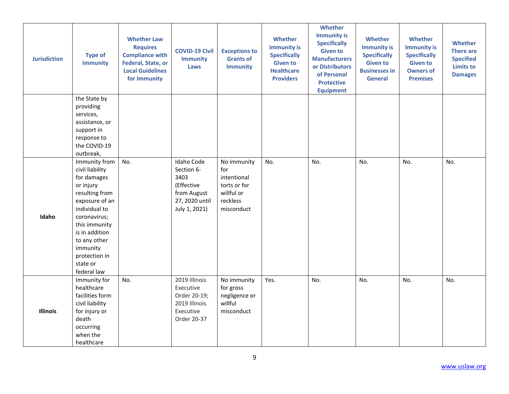| <b>Jurisdiction</b> | <b>Type of</b><br><b>Immunity</b>                                                                                                                                                                                                            | <b>Whether Law</b><br><b>Requires</b><br><b>Compliance with</b><br>Federal, State, or<br><b>Local Guidelines</b><br>for Immunity | <b>COVID-19 Civil</b><br><b>Immunity</b><br>Laws                                                 | <b>Exceptions to</b><br><b>Grants of</b><br><b>Immunity</b>                               | Whether<br><b>Immunity is</b><br><b>Specifically</b><br><b>Given to</b><br><b>Healthcare</b><br><b>Providers</b> | <b>Whether</b><br><b>Immunity is</b><br><b>Specifically</b><br><b>Given to</b><br><b>Manufacturers</b><br>or Distributors<br>of Personal<br><b>Protective</b><br><b>Equipment</b> | Whether<br><b>Immunity is</b><br><b>Specifically</b><br><b>Given to</b><br><b>Businesses in</b><br><b>General</b> | Whether<br><b>Immunity is</b><br><b>Specifically</b><br><b>Given to</b><br><b>Owners of</b><br><b>Premises</b> | <b>Whether</b><br><b>There are</b><br><b>Specified</b><br><b>Limits to</b><br><b>Damages</b> |
|---------------------|----------------------------------------------------------------------------------------------------------------------------------------------------------------------------------------------------------------------------------------------|----------------------------------------------------------------------------------------------------------------------------------|--------------------------------------------------------------------------------------------------|-------------------------------------------------------------------------------------------|------------------------------------------------------------------------------------------------------------------|-----------------------------------------------------------------------------------------------------------------------------------------------------------------------------------|-------------------------------------------------------------------------------------------------------------------|----------------------------------------------------------------------------------------------------------------|----------------------------------------------------------------------------------------------|
|                     | the State by<br>providing<br>services,<br>assistance, or<br>support in<br>response to<br>the COVID-19<br>outbreak,                                                                                                                           |                                                                                                                                  |                                                                                                  |                                                                                           |                                                                                                                  |                                                                                                                                                                                   |                                                                                                                   |                                                                                                                |                                                                                              |
| Idaho               | Immunity from<br>civil liability<br>for damages<br>or injury<br>resulting from<br>exposure of an<br>individual to<br>coronavirus;<br>this immunity<br>is in addition<br>to any other<br>immunity<br>protection in<br>state or<br>federal law | No.                                                                                                                              | Idaho Code<br>Section 6-<br>3403<br>(Effective<br>from August<br>27, 2020 until<br>July 1, 2021) | No immunity<br>for<br>intentional<br>torts or for<br>willful or<br>reckless<br>misconduct | No.                                                                                                              | No.                                                                                                                                                                               | No.                                                                                                               | No.                                                                                                            | No.                                                                                          |
| <b>Illinois</b>     | Immunity for<br>healthcare<br>facilities form<br>civil liability<br>for injury or<br>death<br>occurring<br>when the<br>healthcare                                                                                                            | No.                                                                                                                              | 2019 Illinois<br>Executive<br>Order 20-19;<br>2019 Illinois<br>Executive<br>Order 20-37          | No immunity<br>for gross<br>negligence or<br>willful<br>misconduct                        | Yes.                                                                                                             | No.                                                                                                                                                                               | No.                                                                                                               | No.                                                                                                            | No.                                                                                          |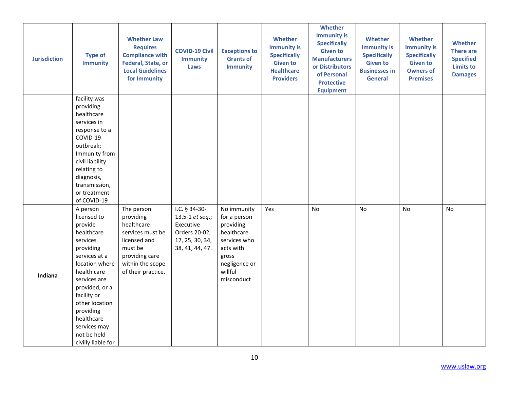| <b>Jurisdiction</b> | <b>Type of</b><br><b>Immunity</b>                                                                                                                                                                                                                                              | <b>Whether Law</b><br><b>Requires</b><br><b>Compliance with</b><br>Federal, State, or<br><b>Local Guidelines</b><br>for Immunity                 | <b>COVID-19 Civil</b><br><b>Immunity</b><br>Laws                                                     | <b>Exceptions to</b><br><b>Grants of</b><br><b>Immunity</b>                                                                            | Whether<br><b>Immunity is</b><br><b>Specifically</b><br><b>Given to</b><br><b>Healthcare</b><br><b>Providers</b> | Whether<br><b>Immunity is</b><br><b>Specifically</b><br><b>Given to</b><br><b>Manufacturers</b><br>or Distributors<br>of Personal<br><b>Protective</b><br><b>Equipment</b> | <b>Whether</b><br><b>Immunity is</b><br><b>Specifically</b><br><b>Given to</b><br><b>Businesses in</b><br><b>General</b> | <b>Whether</b><br><b>Immunity is</b><br><b>Specifically</b><br><b>Given to</b><br><b>Owners of</b><br><b>Premises</b> | <b>Whether</b><br><b>There are</b><br><b>Specified</b><br><b>Limits to</b><br><b>Damages</b> |
|---------------------|--------------------------------------------------------------------------------------------------------------------------------------------------------------------------------------------------------------------------------------------------------------------------------|--------------------------------------------------------------------------------------------------------------------------------------------------|------------------------------------------------------------------------------------------------------|----------------------------------------------------------------------------------------------------------------------------------------|------------------------------------------------------------------------------------------------------------------|----------------------------------------------------------------------------------------------------------------------------------------------------------------------------|--------------------------------------------------------------------------------------------------------------------------|-----------------------------------------------------------------------------------------------------------------------|----------------------------------------------------------------------------------------------|
|                     | facility was<br>providing<br>healthcare<br>services in<br>response to a<br>COVID-19<br>outbreak;<br>Immunity from<br>civil liability<br>relating to<br>diagnosis,<br>transmission,<br>or treatment<br>of COVID-19                                                              |                                                                                                                                                  |                                                                                                      |                                                                                                                                        |                                                                                                                  |                                                                                                                                                                            |                                                                                                                          |                                                                                                                       |                                                                                              |
| Indiana             | A person<br>licensed to<br>provide<br>healthcare<br>services<br>providing<br>services at a<br>location where<br>health care<br>services are<br>provided, or a<br>facility or<br>other location<br>providing<br>healthcare<br>services may<br>not be held<br>civilly liable for | The person<br>providing<br>healthcare<br>services must be<br>licensed and<br>must be<br>providing care<br>within the scope<br>of their practice. | I.C. § 34-30-<br>13.5-1 et seq.;<br>Executive<br>Orders 20-02,<br>17, 25, 30, 34,<br>38, 41, 44, 47. | No immunity<br>for a person<br>providing<br>healthcare<br>services who<br>acts with<br>gross<br>negligence or<br>willful<br>misconduct | Yes                                                                                                              | <b>No</b>                                                                                                                                                                  | <b>No</b>                                                                                                                | No                                                                                                                    | <b>No</b>                                                                                    |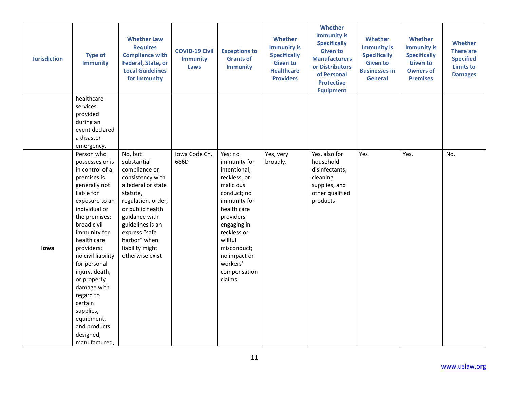| <b>Jurisdiction</b> | <b>Type of</b><br><b>Immunity</b>                                                                                                                                                                                                                                                                                                                                                                     | <b>Whether Law</b><br><b>Requires</b><br><b>Compliance with</b><br><b>Federal, State, or</b><br><b>Local Guidelines</b><br>for Immunity                                                                                                             | <b>COVID-19 Civil</b><br><b>Immunity</b><br>Laws | <b>Exceptions to</b><br><b>Grants of</b><br><b>Immunity</b>                                                                                                                                                                                   | Whether<br><b>Immunity is</b><br><b>Specifically</b><br><b>Given to</b><br><b>Healthcare</b><br><b>Providers</b> | Whether<br><b>Immunity is</b><br><b>Specifically</b><br><b>Given to</b><br><b>Manufacturers</b><br>or Distributors<br>of Personal<br><b>Protective</b><br><b>Equipment</b> | <b>Whether</b><br><b>Immunity is</b><br><b>Specifically</b><br><b>Given to</b><br><b>Businesses in</b><br><b>General</b> | <b>Whether</b><br><b>Immunity is</b><br><b>Specifically</b><br><b>Given to</b><br><b>Owners of</b><br><b>Premises</b> | <b>Whether</b><br><b>There are</b><br><b>Specified</b><br><b>Limits to</b><br><b>Damages</b> |
|---------------------|-------------------------------------------------------------------------------------------------------------------------------------------------------------------------------------------------------------------------------------------------------------------------------------------------------------------------------------------------------------------------------------------------------|-----------------------------------------------------------------------------------------------------------------------------------------------------------------------------------------------------------------------------------------------------|--------------------------------------------------|-----------------------------------------------------------------------------------------------------------------------------------------------------------------------------------------------------------------------------------------------|------------------------------------------------------------------------------------------------------------------|----------------------------------------------------------------------------------------------------------------------------------------------------------------------------|--------------------------------------------------------------------------------------------------------------------------|-----------------------------------------------------------------------------------------------------------------------|----------------------------------------------------------------------------------------------|
|                     | healthcare<br>services<br>provided<br>during an<br>event declared<br>a disaster<br>emergency.                                                                                                                                                                                                                                                                                                         |                                                                                                                                                                                                                                                     |                                                  |                                                                                                                                                                                                                                               |                                                                                                                  |                                                                                                                                                                            |                                                                                                                          |                                                                                                                       |                                                                                              |
| lowa                | Person who<br>possesses or is<br>in control of a<br>premises is<br>generally not<br>liable for<br>exposure to an<br>individual or<br>the premises;<br>broad civil<br>immunity for<br>health care<br>providers;<br>no civil liability<br>for personal<br>injury, death,<br>or property<br>damage with<br>regard to<br>certain<br>supplies,<br>equipment,<br>and products<br>designed,<br>manufactured, | No, but<br>substantial<br>compliance or<br>consistency with<br>a federal or state<br>statute,<br>regulation, order,<br>or public health<br>guidance with<br>guidelines is an<br>express "safe<br>harbor" when<br>liability might<br>otherwise exist | Iowa Code Ch.<br>686D                            | Yes: no<br>immunity for<br>intentional,<br>reckless, or<br>malicious<br>conduct; no<br>immunity for<br>health care<br>providers<br>engaging in<br>reckless or<br>willful<br>misconduct;<br>no impact on<br>workers'<br>compensation<br>claims | Yes, very<br>broadly.                                                                                            | Yes, also for<br>household<br>disinfectants,<br>cleaning<br>supplies, and<br>other qualified<br>products                                                                   | Yes.                                                                                                                     | Yes.                                                                                                                  | No.                                                                                          |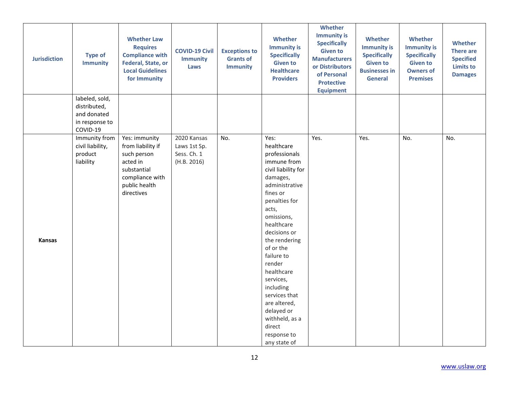| <b>Jurisdiction</b> | <b>Type of</b><br><b>Immunity</b>                                     | <b>Whether Law</b><br><b>Requires</b><br><b>Compliance with</b><br><b>Federal, State, or</b><br><b>Local Guidelines</b><br>for Immunity | <b>COVID-19 Civil</b><br><b>Immunity</b><br>Laws          | <b>Exceptions to</b><br><b>Grants of</b><br><b>Immunity</b> | <b>Whether</b><br><b>Immunity is</b><br><b>Specifically</b><br><b>Given to</b><br><b>Healthcare</b><br><b>Providers</b>                                                                                                                                                                                                                                                                           | Whether<br><b>Immunity is</b><br><b>Specifically</b><br><b>Given to</b><br><b>Manufacturers</b><br>or Distributors<br>of Personal<br><b>Protective</b><br><b>Equipment</b> | Whether<br><b>Immunity is</b><br><b>Specifically</b><br><b>Given to</b><br><b>Businesses in</b><br><b>General</b> | <b>Whether</b><br><b>Immunity is</b><br><b>Specifically</b><br><b>Given to</b><br><b>Owners of</b><br><b>Premises</b> | <b>Whether</b><br><b>There are</b><br><b>Specified</b><br><b>Limits to</b><br><b>Damages</b> |
|---------------------|-----------------------------------------------------------------------|-----------------------------------------------------------------------------------------------------------------------------------------|-----------------------------------------------------------|-------------------------------------------------------------|---------------------------------------------------------------------------------------------------------------------------------------------------------------------------------------------------------------------------------------------------------------------------------------------------------------------------------------------------------------------------------------------------|----------------------------------------------------------------------------------------------------------------------------------------------------------------------------|-------------------------------------------------------------------------------------------------------------------|-----------------------------------------------------------------------------------------------------------------------|----------------------------------------------------------------------------------------------|
|                     | labeled, sold,<br>distributed,<br>and donated<br>in response to       |                                                                                                                                         |                                                           |                                                             |                                                                                                                                                                                                                                                                                                                                                                                                   |                                                                                                                                                                            |                                                                                                                   |                                                                                                                       |                                                                                              |
| <b>Kansas</b>       | COVID-19<br>Immunity from<br>civil liability,<br>product<br>liability | Yes: immunity<br>from liability if<br>such person<br>acted in<br>substantial<br>compliance with<br>public health<br>directives          | 2020 Kansas<br>Laws 1st Sp.<br>Sess. Ch. 1<br>(H.B. 2016) | No.                                                         | Yes:<br>healthcare<br>professionals<br>immune from<br>civil liability for<br>damages,<br>administrative<br>fines or<br>penalties for<br>acts,<br>omissions,<br>healthcare<br>decisions or<br>the rendering<br>of or the<br>failure to<br>render<br>healthcare<br>services,<br>including<br>services that<br>are altered,<br>delayed or<br>withheld, as a<br>direct<br>response to<br>any state of | Yes.                                                                                                                                                                       | Yes.                                                                                                              | No.                                                                                                                   | No.                                                                                          |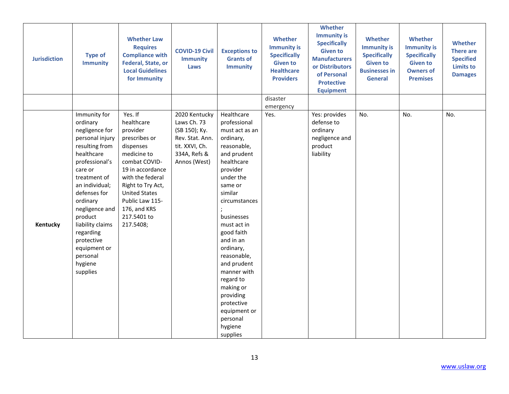| <b>Jurisdiction</b> | <b>Type of</b><br><b>Immunity</b>                                                                                                                                                                                                                                                                                       | <b>Whether Law</b><br><b>Requires</b><br><b>Compliance with</b><br>Federal, State, or<br><b>Local Guidelines</b><br>for Immunity                                                                                                                    | <b>COVID-19 Civil</b><br><b>Immunity</b><br>Laws                                                                   | <b>Exceptions to</b><br><b>Grants of</b><br><b>Immunity</b>                                                                                                                                                                                                                                                                                                                                     | Whether<br><b>Immunity is</b><br><b>Specifically</b><br><b>Given to</b><br><b>Healthcare</b><br><b>Providers</b> | <b>Whether</b><br><b>Immunity is</b><br><b>Specifically</b><br><b>Given to</b><br><b>Manufacturers</b><br>or Distributors<br>of Personal<br><b>Protective</b><br><b>Equipment</b> | Whether<br><b>Immunity is</b><br><b>Specifically</b><br><b>Given to</b><br><b>Businesses in</b><br><b>General</b> | Whether<br><b>Immunity is</b><br><b>Specifically</b><br><b>Given to</b><br><b>Owners of</b><br><b>Premises</b> | Whether<br><b>There are</b><br><b>Specified</b><br><b>Limits to</b><br><b>Damages</b> |
|---------------------|-------------------------------------------------------------------------------------------------------------------------------------------------------------------------------------------------------------------------------------------------------------------------------------------------------------------------|-----------------------------------------------------------------------------------------------------------------------------------------------------------------------------------------------------------------------------------------------------|--------------------------------------------------------------------------------------------------------------------|-------------------------------------------------------------------------------------------------------------------------------------------------------------------------------------------------------------------------------------------------------------------------------------------------------------------------------------------------------------------------------------------------|------------------------------------------------------------------------------------------------------------------|-----------------------------------------------------------------------------------------------------------------------------------------------------------------------------------|-------------------------------------------------------------------------------------------------------------------|----------------------------------------------------------------------------------------------------------------|---------------------------------------------------------------------------------------|
|                     |                                                                                                                                                                                                                                                                                                                         |                                                                                                                                                                                                                                                     |                                                                                                                    |                                                                                                                                                                                                                                                                                                                                                                                                 | disaster<br>emergency                                                                                            |                                                                                                                                                                                   |                                                                                                                   |                                                                                                                |                                                                                       |
| Kentucky            | Immunity for<br>ordinary<br>negligence for<br>personal injury<br>resulting from<br>healthcare<br>professional's<br>care or<br>treatment of<br>an individual;<br>defenses for<br>ordinary<br>negligence and<br>product<br>liability claims<br>regarding<br>protective<br>equipment or<br>personal<br>hygiene<br>supplies | Yes. If<br>healthcare<br>provider<br>prescribes or<br>dispenses<br>medicine to<br>combat COVID-<br>19 in accordance<br>with the federal<br>Right to Try Act,<br><b>United States</b><br>Public Law 115-<br>176, and KRS<br>217.5401 to<br>217.5408; | 2020 Kentucky<br>Laws Ch. 73<br>(SB 150); Ky.<br>Rev. Stat. Ann.<br>tit. XXVI, Ch.<br>334A, Refs &<br>Annos (West) | Healthcare<br>professional<br>must act as an<br>ordinary,<br>reasonable,<br>and prudent<br>healthcare<br>provider<br>under the<br>same or<br>similar<br>circumstances<br>businesses<br>must act in<br>good faith<br>and in an<br>ordinary,<br>reasonable,<br>and prudent<br>manner with<br>regard to<br>making or<br>providing<br>protective<br>equipment or<br>personal<br>hygiene<br>supplies | Yes.                                                                                                             | Yes: provides<br>defense to<br>ordinary<br>negligence and<br>product<br>liability                                                                                                 | No.                                                                                                               | No.                                                                                                            | No.                                                                                   |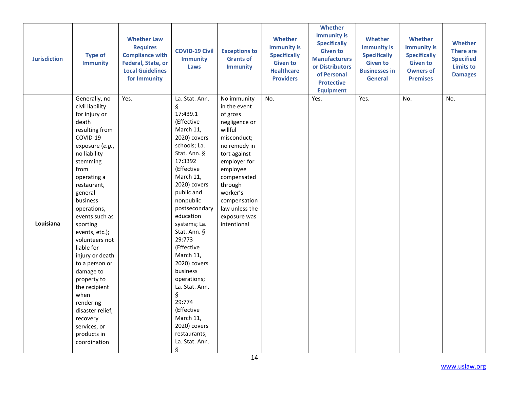| <b>Jurisdiction</b> | <b>Type of</b><br><b>Immunity</b>                                                                                                                                                                                                                                                                                                                                                                                                                                                         | <b>Whether Law</b><br><b>Requires</b><br><b>Compliance with</b><br>Federal, State, or<br><b>Local Guidelines</b><br>for Immunity | <b>COVID-19 Civil</b><br><b>Immunity</b><br>Laws                                                                                                                                                                                                                                                                                                                                                                                                                      | <b>Exceptions to</b><br><b>Grants of</b><br><b>Immunity</b>                                                                                                                                                                                           | <b>Whether</b><br><b>Immunity is</b><br><b>Specifically</b><br><b>Given to</b><br><b>Healthcare</b><br><b>Providers</b> | Whether<br><b>Immunity is</b><br><b>Specifically</b><br><b>Given to</b><br><b>Manufacturers</b><br>or Distributors<br>of Personal<br><b>Protective</b><br><b>Equipment</b> | <b>Whether</b><br><b>Immunity is</b><br><b>Specifically</b><br><b>Given to</b><br><b>Businesses in</b><br><b>General</b> | <b>Whether</b><br><b>Immunity is</b><br><b>Specifically</b><br><b>Given to</b><br><b>Owners of</b><br><b>Premises</b> | <b>Whether</b><br><b>There are</b><br><b>Specified</b><br><b>Limits to</b><br><b>Damages</b> |
|---------------------|-------------------------------------------------------------------------------------------------------------------------------------------------------------------------------------------------------------------------------------------------------------------------------------------------------------------------------------------------------------------------------------------------------------------------------------------------------------------------------------------|----------------------------------------------------------------------------------------------------------------------------------|-----------------------------------------------------------------------------------------------------------------------------------------------------------------------------------------------------------------------------------------------------------------------------------------------------------------------------------------------------------------------------------------------------------------------------------------------------------------------|-------------------------------------------------------------------------------------------------------------------------------------------------------------------------------------------------------------------------------------------------------|-------------------------------------------------------------------------------------------------------------------------|----------------------------------------------------------------------------------------------------------------------------------------------------------------------------|--------------------------------------------------------------------------------------------------------------------------|-----------------------------------------------------------------------------------------------------------------------|----------------------------------------------------------------------------------------------|
| Louisiana           | Generally, no<br>civil liability<br>for injury or<br>death<br>resulting from<br>COVID-19<br>exposure (e.g.,<br>no liability<br>stemming<br>from<br>operating a<br>restaurant,<br>general<br>business<br>operations,<br>events such as<br>sporting<br>events, etc.);<br>volunteers not<br>liable for<br>injury or death<br>to a person or<br>damage to<br>property to<br>the recipient<br>when<br>rendering<br>disaster relief,<br>recovery<br>services, or<br>products in<br>coordination | Yes.                                                                                                                             | La. Stat. Ann.<br>$\S$<br>17:439.1<br>(Effective<br>March 11,<br>2020) covers<br>schools; La.<br>Stat. Ann. §<br>17:3392<br>(Effective<br>March 11,<br>2020) covers<br>public and<br>nonpublic<br>postsecondary<br>education<br>systems; La.<br>Stat. Ann. §<br>29:773<br>(Effective<br>March 11,<br>2020) covers<br>business<br>operations;<br>La. Stat. Ann.<br>$\S$<br>29:774<br>(Effective<br>March 11,<br>2020) covers<br>restaurants;<br>La. Stat. Ann.<br>$\S$ | No immunity<br>in the event<br>of gross<br>negligence or<br>willful<br>misconduct;<br>no remedy in<br>tort against<br>employer for<br>employee<br>compensated<br>through<br>worker's<br>compensation<br>law unless the<br>exposure was<br>intentional | No.                                                                                                                     | Yes.                                                                                                                                                                       | Yes.                                                                                                                     | No.                                                                                                                   | No.                                                                                          |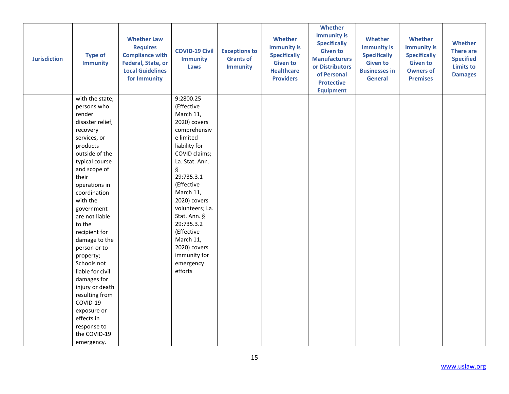| <b>Jurisdiction</b> | <b>Type of</b><br><b>Immunity</b> | <b>Whether Law</b><br><b>Requires</b><br><b>Compliance with</b><br>Federal, State, or<br><b>Local Guidelines</b><br>for Immunity | <b>COVID-19 Civil</b><br><b>Immunity</b><br>Laws | <b>Exceptions to</b><br><b>Grants of</b><br><b>Immunity</b> | <b>Whether</b><br><b>Immunity is</b><br><b>Specifically</b><br><b>Given to</b><br><b>Healthcare</b><br><b>Providers</b> | Whether<br><b>Immunity is</b><br><b>Specifically</b><br><b>Given to</b><br><b>Manufacturers</b><br>or Distributors<br>of Personal<br><b>Protective</b><br><b>Equipment</b> | Whether<br><b>Immunity is</b><br><b>Specifically</b><br><b>Given to</b><br><b>Businesses in</b><br><b>General</b> | Whether<br><b>Immunity is</b><br><b>Specifically</b><br><b>Given to</b><br><b>Owners of</b><br><b>Premises</b> | <b>Whether</b><br><b>There are</b><br><b>Specified</b><br><b>Limits to</b><br><b>Damages</b> |
|---------------------|-----------------------------------|----------------------------------------------------------------------------------------------------------------------------------|--------------------------------------------------|-------------------------------------------------------------|-------------------------------------------------------------------------------------------------------------------------|----------------------------------------------------------------------------------------------------------------------------------------------------------------------------|-------------------------------------------------------------------------------------------------------------------|----------------------------------------------------------------------------------------------------------------|----------------------------------------------------------------------------------------------|
|                     | with the state;                   |                                                                                                                                  | 9:2800.25                                        |                                                             |                                                                                                                         |                                                                                                                                                                            |                                                                                                                   |                                                                                                                |                                                                                              |
|                     | persons who                       |                                                                                                                                  | (Effective                                       |                                                             |                                                                                                                         |                                                                                                                                                                            |                                                                                                                   |                                                                                                                |                                                                                              |
|                     | render                            |                                                                                                                                  | March 11,                                        |                                                             |                                                                                                                         |                                                                                                                                                                            |                                                                                                                   |                                                                                                                |                                                                                              |
|                     | disaster relief,                  |                                                                                                                                  | 2020) covers                                     |                                                             |                                                                                                                         |                                                                                                                                                                            |                                                                                                                   |                                                                                                                |                                                                                              |
|                     | recovery                          |                                                                                                                                  | comprehensiv                                     |                                                             |                                                                                                                         |                                                                                                                                                                            |                                                                                                                   |                                                                                                                |                                                                                              |
|                     | services, or                      |                                                                                                                                  | e limited                                        |                                                             |                                                                                                                         |                                                                                                                                                                            |                                                                                                                   |                                                                                                                |                                                                                              |
|                     | products                          |                                                                                                                                  | liability for                                    |                                                             |                                                                                                                         |                                                                                                                                                                            |                                                                                                                   |                                                                                                                |                                                                                              |
|                     | outside of the                    |                                                                                                                                  | COVID claims;                                    |                                                             |                                                                                                                         |                                                                                                                                                                            |                                                                                                                   |                                                                                                                |                                                                                              |
|                     | typical course                    |                                                                                                                                  | La. Stat. Ann.                                   |                                                             |                                                                                                                         |                                                                                                                                                                            |                                                                                                                   |                                                                                                                |                                                                                              |
|                     | and scope of                      |                                                                                                                                  | $\S$                                             |                                                             |                                                                                                                         |                                                                                                                                                                            |                                                                                                                   |                                                                                                                |                                                                                              |
|                     | their                             |                                                                                                                                  | 29:735.3.1                                       |                                                             |                                                                                                                         |                                                                                                                                                                            |                                                                                                                   |                                                                                                                |                                                                                              |
|                     | operations in                     |                                                                                                                                  | (Effective                                       |                                                             |                                                                                                                         |                                                                                                                                                                            |                                                                                                                   |                                                                                                                |                                                                                              |
|                     | coordination                      |                                                                                                                                  | March 11,                                        |                                                             |                                                                                                                         |                                                                                                                                                                            |                                                                                                                   |                                                                                                                |                                                                                              |
|                     | with the                          |                                                                                                                                  | 2020) covers                                     |                                                             |                                                                                                                         |                                                                                                                                                                            |                                                                                                                   |                                                                                                                |                                                                                              |
|                     | government                        |                                                                                                                                  | volunteers; La.                                  |                                                             |                                                                                                                         |                                                                                                                                                                            |                                                                                                                   |                                                                                                                |                                                                                              |
|                     | are not liable                    |                                                                                                                                  | Stat. Ann. §                                     |                                                             |                                                                                                                         |                                                                                                                                                                            |                                                                                                                   |                                                                                                                |                                                                                              |
|                     | to the                            |                                                                                                                                  | 29:735.3.2                                       |                                                             |                                                                                                                         |                                                                                                                                                                            |                                                                                                                   |                                                                                                                |                                                                                              |
|                     | recipient for                     |                                                                                                                                  | (Effective                                       |                                                             |                                                                                                                         |                                                                                                                                                                            |                                                                                                                   |                                                                                                                |                                                                                              |
|                     | damage to the                     |                                                                                                                                  | March 11,                                        |                                                             |                                                                                                                         |                                                                                                                                                                            |                                                                                                                   |                                                                                                                |                                                                                              |
|                     | person or to                      |                                                                                                                                  | 2020) covers                                     |                                                             |                                                                                                                         |                                                                                                                                                                            |                                                                                                                   |                                                                                                                |                                                                                              |
|                     | property;                         |                                                                                                                                  | immunity for                                     |                                                             |                                                                                                                         |                                                                                                                                                                            |                                                                                                                   |                                                                                                                |                                                                                              |
|                     | Schools not                       |                                                                                                                                  | emergency                                        |                                                             |                                                                                                                         |                                                                                                                                                                            |                                                                                                                   |                                                                                                                |                                                                                              |
|                     | liable for civil                  |                                                                                                                                  | efforts                                          |                                                             |                                                                                                                         |                                                                                                                                                                            |                                                                                                                   |                                                                                                                |                                                                                              |
|                     | damages for                       |                                                                                                                                  |                                                  |                                                             |                                                                                                                         |                                                                                                                                                                            |                                                                                                                   |                                                                                                                |                                                                                              |
|                     | injury or death                   |                                                                                                                                  |                                                  |                                                             |                                                                                                                         |                                                                                                                                                                            |                                                                                                                   |                                                                                                                |                                                                                              |
|                     | resulting from                    |                                                                                                                                  |                                                  |                                                             |                                                                                                                         |                                                                                                                                                                            |                                                                                                                   |                                                                                                                |                                                                                              |
|                     | COVID-19                          |                                                                                                                                  |                                                  |                                                             |                                                                                                                         |                                                                                                                                                                            |                                                                                                                   |                                                                                                                |                                                                                              |
|                     | exposure or                       |                                                                                                                                  |                                                  |                                                             |                                                                                                                         |                                                                                                                                                                            |                                                                                                                   |                                                                                                                |                                                                                              |
|                     | effects in                        |                                                                                                                                  |                                                  |                                                             |                                                                                                                         |                                                                                                                                                                            |                                                                                                                   |                                                                                                                |                                                                                              |
|                     | response to                       |                                                                                                                                  |                                                  |                                                             |                                                                                                                         |                                                                                                                                                                            |                                                                                                                   |                                                                                                                |                                                                                              |
|                     | the COVID-19                      |                                                                                                                                  |                                                  |                                                             |                                                                                                                         |                                                                                                                                                                            |                                                                                                                   |                                                                                                                |                                                                                              |
|                     | emergency.                        |                                                                                                                                  |                                                  |                                                             |                                                                                                                         |                                                                                                                                                                            |                                                                                                                   |                                                                                                                |                                                                                              |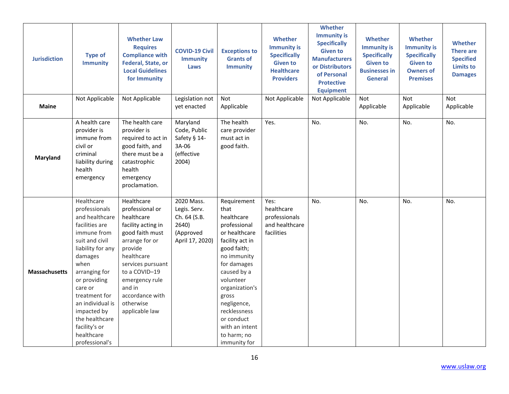| <b>Jurisdiction</b>  | <b>Type of</b><br><b>Immunity</b>                                                                                                                                                                                                                                                                           | <b>Whether Law</b><br><b>Requires</b><br><b>Compliance with</b><br>Federal, State, or<br><b>Local Guidelines</b><br>for Immunity                                                                                                                    | <b>COVID-19 Civil</b><br><b>Immunity</b><br>Laws                                    | <b>Exceptions to</b><br><b>Grants of</b><br><b>Immunity</b>                                                                                                                                                                                                                             | <b>Whether</b><br><b>Immunity is</b><br><b>Specifically</b><br><b>Given to</b><br><b>Healthcare</b><br><b>Providers</b> | Whether<br><b>Immunity is</b><br><b>Specifically</b><br><b>Given to</b><br><b>Manufacturers</b><br>or Distributors<br>of Personal<br><b>Protective</b><br><b>Equipment</b> | Whether<br><b>Immunity is</b><br><b>Specifically</b><br><b>Given to</b><br><b>Businesses in</b><br><b>General</b> | <b>Whether</b><br><b>Immunity is</b><br><b>Specifically</b><br><b>Given to</b><br><b>Owners of</b><br><b>Premises</b> | <b>Whether</b><br><b>There are</b><br><b>Specified</b><br><b>Limits to</b><br><b>Damages</b> |
|----------------------|-------------------------------------------------------------------------------------------------------------------------------------------------------------------------------------------------------------------------------------------------------------------------------------------------------------|-----------------------------------------------------------------------------------------------------------------------------------------------------------------------------------------------------------------------------------------------------|-------------------------------------------------------------------------------------|-----------------------------------------------------------------------------------------------------------------------------------------------------------------------------------------------------------------------------------------------------------------------------------------|-------------------------------------------------------------------------------------------------------------------------|----------------------------------------------------------------------------------------------------------------------------------------------------------------------------|-------------------------------------------------------------------------------------------------------------------|-----------------------------------------------------------------------------------------------------------------------|----------------------------------------------------------------------------------------------|
| <b>Maine</b>         | Not Applicable                                                                                                                                                                                                                                                                                              | Not Applicable                                                                                                                                                                                                                                      | Legislation not<br>yet enacted                                                      | Not<br>Applicable                                                                                                                                                                                                                                                                       | Not Applicable                                                                                                          | Not Applicable                                                                                                                                                             | <b>Not</b><br>Applicable                                                                                          | <b>Not</b><br>Applicable                                                                                              | Not<br>Applicable                                                                            |
| Maryland             | A health care<br>provider is<br>immune from<br>civil or<br>criminal<br>liability during<br>health<br>emergency                                                                                                                                                                                              | The health care<br>provider is<br>required to act in<br>good faith, and<br>there must be a<br>catastrophic<br>health<br>emergency<br>proclamation.                                                                                                  | Maryland<br>Code, Public<br>Safety § 14-<br>3A-06<br>(effective<br>2004)            | The health<br>care provider<br>must act in<br>good faith.                                                                                                                                                                                                                               | Yes.                                                                                                                    | No.                                                                                                                                                                        | No.                                                                                                               | No.                                                                                                                   | No.                                                                                          |
| <b>Massachusetts</b> | Healthcare<br>professionals<br>and healthcare<br>facilities are<br>immune from<br>suit and civil<br>liability for any<br>damages<br>when<br>arranging for<br>or providing<br>care or<br>treatment for<br>an individual is<br>impacted by<br>the healthcare<br>facility's or<br>healthcare<br>professional's | Healthcare<br>professional or<br>healthcare<br>facility acting in<br>good faith must<br>arrange for or<br>provide<br>healthcare<br>services pursuant<br>to a COVID-19<br>emergency rule<br>and in<br>accordance with<br>otherwise<br>applicable law | 2020 Mass.<br>Legis. Serv.<br>Ch. 64 (S.B.<br>2640)<br>(Approved<br>April 17, 2020) | Requirement<br>that<br>healthcare<br>professional<br>or healthcare<br>facility act in<br>good faith;<br>no immunity<br>for damages<br>caused by a<br>volunteer<br>organization's<br>gross<br>negligence,<br>recklessness<br>or conduct<br>with an intent<br>to harm; no<br>immunity for | Yes:<br>healthcare<br>professionals<br>and healthcare<br>facilities                                                     | No.                                                                                                                                                                        | No.                                                                                                               | No.                                                                                                                   | No.                                                                                          |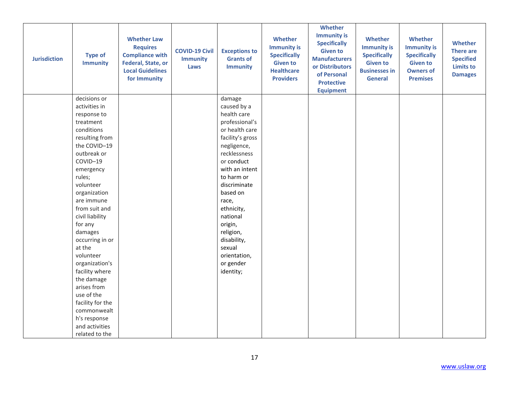| <b>Type of</b><br><b>Jurisdiction</b><br><b>Immunity</b>                                                                                                                                                                                                                                                                                                                                                                                                                         | <b>Whether Law</b><br><b>Requires</b><br><b>Compliance with</b><br>Federal, State, or<br><b>Local Guidelines</b><br>for Immunity | <b>COVID-19 Civil</b><br><b>Immunity</b><br>Laws | <b>Exceptions to</b><br><b>Grants of</b><br><b>Immunity</b>                                                                                                                                                                                                                                                                         | Whether<br><b>Immunity is</b><br><b>Specifically</b><br><b>Given to</b><br><b>Healthcare</b><br><b>Providers</b> | Whether<br><b>Immunity is</b><br><b>Specifically</b><br><b>Given to</b><br><b>Manufacturers</b><br>or Distributors<br>of Personal<br><b>Protective</b><br><b>Equipment</b> | Whether<br><b>Immunity is</b><br><b>Specifically</b><br><b>Given to</b><br><b>Businesses in</b><br><b>General</b> | <b>Whether</b><br><b>Immunity is</b><br><b>Specifically</b><br><b>Given to</b><br><b>Owners of</b><br><b>Premises</b> | <b>Whether</b><br><b>There are</b><br><b>Specified</b><br><b>Limits to</b><br><b>Damages</b> |
|----------------------------------------------------------------------------------------------------------------------------------------------------------------------------------------------------------------------------------------------------------------------------------------------------------------------------------------------------------------------------------------------------------------------------------------------------------------------------------|----------------------------------------------------------------------------------------------------------------------------------|--------------------------------------------------|-------------------------------------------------------------------------------------------------------------------------------------------------------------------------------------------------------------------------------------------------------------------------------------------------------------------------------------|------------------------------------------------------------------------------------------------------------------|----------------------------------------------------------------------------------------------------------------------------------------------------------------------------|-------------------------------------------------------------------------------------------------------------------|-----------------------------------------------------------------------------------------------------------------------|----------------------------------------------------------------------------------------------|
| decisions or<br>activities in<br>response to<br>treatment<br>conditions<br>resulting from<br>the COVID-19<br>outbreak or<br>COVID-19<br>emergency<br>rules;<br>volunteer<br>organization<br>are immune<br>from suit and<br>civil liability<br>for any<br>damages<br>occurring in or<br>at the<br>volunteer<br>organization's<br>facility where<br>the damage<br>arises from<br>use of the<br>facility for the<br>commonwealt<br>h's response<br>and activities<br>related to the |                                                                                                                                  |                                                  | damage<br>caused by a<br>health care<br>professional's<br>or health care<br>facility's gross<br>negligence,<br>recklessness<br>or conduct<br>with an intent<br>to harm or<br>discriminate<br>based on<br>race,<br>ethnicity,<br>national<br>origin,<br>religion,<br>disability,<br>sexual<br>orientation,<br>or gender<br>identity; |                                                                                                                  |                                                                                                                                                                            |                                                                                                                   |                                                                                                                       |                                                                                              |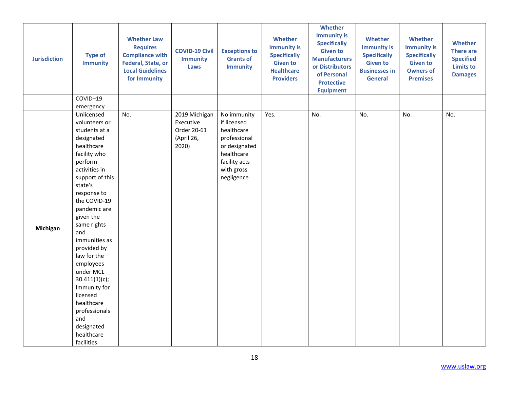| <b>Jurisdiction</b> | <b>Type of</b><br><b>Immunity</b>                                                                                                                                                                                                                                                                                                                                                                                                                       | <b>Whether Law</b><br><b>Requires</b><br><b>Compliance with</b><br>Federal, State, or<br><b>Local Guidelines</b><br>for Immunity | <b>COVID-19 Civil</b><br><b>Immunity</b><br>Laws                 | <b>Exceptions to</b><br><b>Grants of</b><br><b>Immunity</b>                                                                          | Whether<br><b>Immunity is</b><br><b>Specifically</b><br><b>Given to</b><br><b>Healthcare</b><br><b>Providers</b> | Whether<br><b>Immunity is</b><br><b>Specifically</b><br><b>Given to</b><br><b>Manufacturers</b><br>or Distributors<br>of Personal<br><b>Protective</b><br><b>Equipment</b> | <b>Whether</b><br><b>Immunity is</b><br><b>Specifically</b><br><b>Given to</b><br><b>Businesses in</b><br><b>General</b> | Whether<br><b>Immunity is</b><br><b>Specifically</b><br><b>Given to</b><br><b>Owners of</b><br><b>Premises</b> | Whether<br><b>There are</b><br><b>Specified</b><br><b>Limits to</b><br><b>Damages</b> |
|---------------------|---------------------------------------------------------------------------------------------------------------------------------------------------------------------------------------------------------------------------------------------------------------------------------------------------------------------------------------------------------------------------------------------------------------------------------------------------------|----------------------------------------------------------------------------------------------------------------------------------|------------------------------------------------------------------|--------------------------------------------------------------------------------------------------------------------------------------|------------------------------------------------------------------------------------------------------------------|----------------------------------------------------------------------------------------------------------------------------------------------------------------------------|--------------------------------------------------------------------------------------------------------------------------|----------------------------------------------------------------------------------------------------------------|---------------------------------------------------------------------------------------|
|                     | COVID-19                                                                                                                                                                                                                                                                                                                                                                                                                                                |                                                                                                                                  |                                                                  |                                                                                                                                      |                                                                                                                  |                                                                                                                                                                            |                                                                                                                          |                                                                                                                |                                                                                       |
| Michigan            | emergency<br>Unlicensed<br>volunteers or<br>students at a<br>designated<br>healthcare<br>facility who<br>perform<br>activities in<br>support of this<br>state's<br>response to<br>the COVID-19<br>pandemic are<br>given the<br>same rights<br>and<br>immunities as<br>provided by<br>law for the<br>employees<br>under MCL<br>30.411(1)(c);<br>Immunity for<br>licensed<br>healthcare<br>professionals<br>and<br>designated<br>healthcare<br>facilities | No.                                                                                                                              | 2019 Michigan<br>Executive<br>Order 20-61<br>(April 26,<br>2020) | No immunity<br>if licensed<br>healthcare<br>professional<br>or designated<br>healthcare<br>facility acts<br>with gross<br>negligence | Yes.                                                                                                             | No.                                                                                                                                                                        | No.                                                                                                                      | No.                                                                                                            | No.                                                                                   |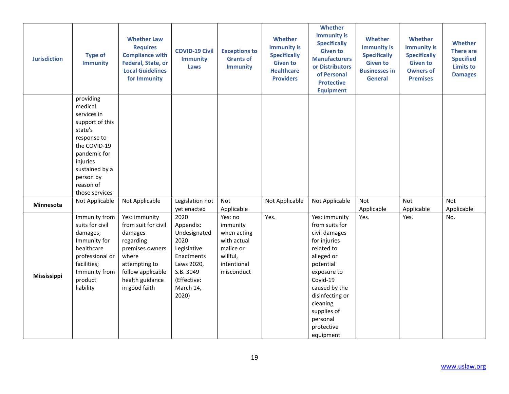| <b>Jurisdiction</b> | <b>Type of</b><br><b>Immunity</b>                                                                                                                                                          | <b>Whether Law</b><br><b>Requires</b><br><b>Compliance with</b><br><b>Federal, State, or</b><br><b>Local Guidelines</b><br>for Immunity                            | <b>COVID-19 Civil</b><br><b>Immunity</b><br>Laws                                                                                       | <b>Exceptions to</b><br><b>Grants of</b><br><b>Immunity</b>                                             | <b>Whether</b><br><b>Immunity is</b><br><b>Specifically</b><br><b>Given to</b><br><b>Healthcare</b><br><b>Providers</b> | Whether<br><b>Immunity is</b><br><b>Specifically</b><br><b>Given to</b><br><b>Manufacturers</b><br>or Distributors<br>of Personal<br><b>Protective</b><br><b>Equipment</b>                                                                 | <b>Whether</b><br><b>Immunity is</b><br><b>Specifically</b><br><b>Given to</b><br><b>Businesses in</b><br><b>General</b> | <b>Whether</b><br><b>Immunity is</b><br><b>Specifically</b><br><b>Given to</b><br><b>Owners of</b><br><b>Premises</b> | <b>Whether</b><br><b>There are</b><br><b>Specified</b><br><b>Limits to</b><br><b>Damages</b> |
|---------------------|--------------------------------------------------------------------------------------------------------------------------------------------------------------------------------------------|--------------------------------------------------------------------------------------------------------------------------------------------------------------------|----------------------------------------------------------------------------------------------------------------------------------------|---------------------------------------------------------------------------------------------------------|-------------------------------------------------------------------------------------------------------------------------|--------------------------------------------------------------------------------------------------------------------------------------------------------------------------------------------------------------------------------------------|--------------------------------------------------------------------------------------------------------------------------|-----------------------------------------------------------------------------------------------------------------------|----------------------------------------------------------------------------------------------|
|                     | providing<br>medical<br>services in<br>support of this<br>state's<br>response to<br>the COVID-19<br>pandemic for<br>injuries<br>sustained by a<br>person by<br>reason of<br>those services |                                                                                                                                                                    |                                                                                                                                        |                                                                                                         |                                                                                                                         |                                                                                                                                                                                                                                            |                                                                                                                          |                                                                                                                       |                                                                                              |
| <b>Minnesota</b>    | Not Applicable                                                                                                                                                                             | Not Applicable                                                                                                                                                     | Legislation not<br>yet enacted                                                                                                         | Not<br>Applicable                                                                                       | Not Applicable                                                                                                          | Not Applicable                                                                                                                                                                                                                             | Not<br>Applicable                                                                                                        | <b>Not</b><br>Applicable                                                                                              | Not<br>Applicable                                                                            |
| Mississippi         | Immunity from<br>suits for civil<br>damages;<br>Immunity for<br>healthcare<br>professional or<br>facilities;<br>Immunity from<br>product<br>liability                                      | Yes: immunity<br>from suit for civil<br>damages<br>regarding<br>premises owners<br>where<br>attempting to<br>follow applicable<br>health guidance<br>in good faith | 2020<br>Appendix:<br>Undesignated<br>2020<br>Legislative<br>Enactments<br>Laws 2020,<br>S.B. 3049<br>(Effective:<br>March 14,<br>2020) | Yes: no<br>immunity<br>when acting<br>with actual<br>malice or<br>willful,<br>intentional<br>misconduct | Yes.                                                                                                                    | Yes: immunity<br>from suits for<br>civil damages<br>for injuries<br>related to<br>alleged or<br>potential<br>exposure to<br>Covid-19<br>caused by the<br>disinfecting or<br>cleaning<br>supplies of<br>personal<br>protective<br>equipment | Yes.                                                                                                                     | Yes.                                                                                                                  | No.                                                                                          |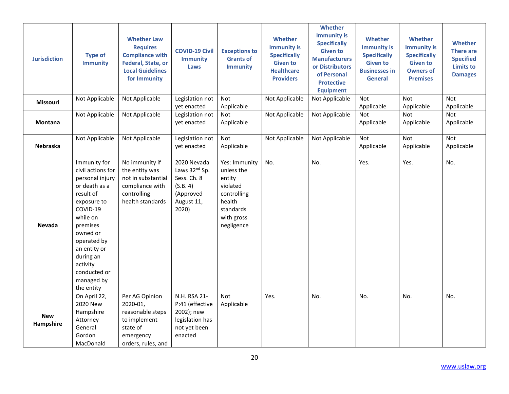| <b>Jurisdiction</b>     | <b>Type of</b><br><b>Immunity</b>                                                                                                                                                                                                                     | <b>Whether Law</b><br><b>Requires</b><br><b>Compliance with</b><br><b>Federal, State, or</b><br><b>Local Guidelines</b><br>for Immunity | <b>COVID-19 Civil</b><br><b>Immunity</b><br>Laws                                                        | <b>Exceptions to</b><br><b>Grants of</b><br><b>Immunity</b>                                                         | <b>Whether</b><br><b>Immunity is</b><br><b>Specifically</b><br><b>Given to</b><br><b>Healthcare</b><br><b>Providers</b> | Whether<br><b>Immunity is</b><br><b>Specifically</b><br><b>Given to</b><br><b>Manufacturers</b><br>or Distributors<br>of Personal<br><b>Protective</b><br><b>Equipment</b> | <b>Whether</b><br><b>Immunity is</b><br><b>Specifically</b><br><b>Given to</b><br><b>Businesses in</b><br><b>General</b> | <b>Whether</b><br><b>Immunity is</b><br><b>Specifically</b><br><b>Given to</b><br><b>Owners of</b><br><b>Premises</b> | <b>Whether</b><br><b>There are</b><br><b>Specified</b><br><b>Limits to</b><br><b>Damages</b> |
|-------------------------|-------------------------------------------------------------------------------------------------------------------------------------------------------------------------------------------------------------------------------------------------------|-----------------------------------------------------------------------------------------------------------------------------------------|---------------------------------------------------------------------------------------------------------|---------------------------------------------------------------------------------------------------------------------|-------------------------------------------------------------------------------------------------------------------------|----------------------------------------------------------------------------------------------------------------------------------------------------------------------------|--------------------------------------------------------------------------------------------------------------------------|-----------------------------------------------------------------------------------------------------------------------|----------------------------------------------------------------------------------------------|
| <b>Missouri</b>         | Not Applicable                                                                                                                                                                                                                                        | Not Applicable                                                                                                                          | Legislation not<br>yet enacted                                                                          | Not<br>Applicable                                                                                                   | Not Applicable                                                                                                          | Not Applicable                                                                                                                                                             | <b>Not</b><br>Applicable                                                                                                 | <b>Not</b><br>Applicable                                                                                              | Not<br>Applicable                                                                            |
| Montana                 | Not Applicable                                                                                                                                                                                                                                        | Not Applicable                                                                                                                          | Legislation not<br>yet enacted                                                                          | <b>Not</b><br>Applicable                                                                                            | Not Applicable                                                                                                          | Not Applicable                                                                                                                                                             | <b>Not</b><br>Applicable                                                                                                 | <b>Not</b><br>Applicable                                                                                              | <b>Not</b><br>Applicable                                                                     |
| <b>Nebraska</b>         | Not Applicable                                                                                                                                                                                                                                        | Not Applicable                                                                                                                          | Legislation not<br>yet enacted                                                                          | Not<br>Applicable                                                                                                   | Not Applicable                                                                                                          | Not Applicable                                                                                                                                                             | Not.<br>Applicable                                                                                                       | <b>Not</b><br>Applicable                                                                                              | <b>Not</b><br>Applicable                                                                     |
| <b>Nevada</b>           | Immunity for<br>civil actions for<br>personal injury<br>or death as a<br>result of<br>exposure to<br>COVID-19<br>while on<br>premises<br>owned or<br>operated by<br>an entity or<br>during an<br>activity<br>conducted or<br>managed by<br>the entity | No immunity if<br>the entity was<br>not in substantial<br>compliance with<br>controlling<br>health standards                            | 2020 Nevada<br>Laws 32 <sup>nd</sup> Sp.<br>Sess. Ch. 8<br>(S.B. 4)<br>(Approved<br>August 11,<br>2020) | Yes: Immunity<br>unless the<br>entity<br>violated<br>controlling<br>health<br>standards<br>with gross<br>negligence | No.                                                                                                                     | No.                                                                                                                                                                        | Yes.                                                                                                                     | Yes.                                                                                                                  | No.                                                                                          |
| <b>New</b><br>Hampshire | On April 22,<br>2020 New<br>Hampshire<br>Attorney<br>General<br>Gordon<br>MacDonald                                                                                                                                                                   | Per AG Opinion<br>2020-01,<br>reasonable steps<br>to implement<br>state of<br>emergency<br>orders, rules, and                           | N.H. RSA 21-<br>P:41 (effective<br>2002); new<br>legislation has<br>not yet been<br>enacted             | Not<br>Applicable                                                                                                   | Yes.                                                                                                                    | No.                                                                                                                                                                        | No.                                                                                                                      | No.                                                                                                                   | No.                                                                                          |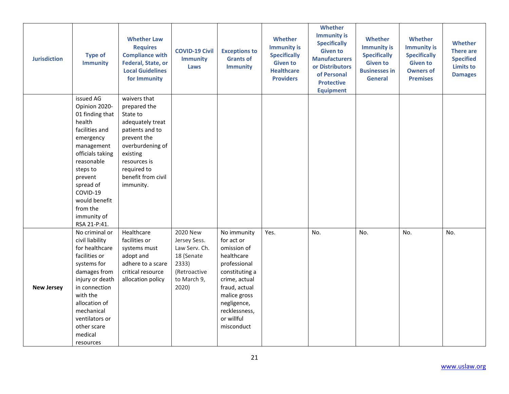| <b>Jurisdiction</b> | <b>Type of</b><br><b>Immunity</b>                                                                                                                                                                                                                  | <b>Whether Law</b><br><b>Requires</b><br><b>Compliance with</b><br>Federal, State, or<br><b>Local Guidelines</b><br>for Immunity                                                                 | <b>COVID-19 Civil</b><br><b>Immunity</b><br>Laws                                                         | <b>Exceptions to</b><br><b>Grants of</b><br><b>Immunity</b>                                                                                                                                            | <b>Whether</b><br><b>Immunity is</b><br><b>Specifically</b><br><b>Given to</b><br><b>Healthcare</b><br><b>Providers</b> | Whether<br><b>Immunity is</b><br><b>Specifically</b><br><b>Given to</b><br><b>Manufacturers</b><br>or Distributors<br>of Personal<br><b>Protective</b><br><b>Equipment</b> | <b>Whether</b><br><b>Immunity is</b><br><b>Specifically</b><br><b>Given to</b><br><b>Businesses in</b><br><b>General</b> | <b>Whether</b><br><b>Immunity is</b><br><b>Specifically</b><br><b>Given to</b><br><b>Owners of</b><br><b>Premises</b> | <b>Whether</b><br><b>There are</b><br><b>Specified</b><br><b>Limits to</b><br><b>Damages</b> |
|---------------------|----------------------------------------------------------------------------------------------------------------------------------------------------------------------------------------------------------------------------------------------------|--------------------------------------------------------------------------------------------------------------------------------------------------------------------------------------------------|----------------------------------------------------------------------------------------------------------|--------------------------------------------------------------------------------------------------------------------------------------------------------------------------------------------------------|-------------------------------------------------------------------------------------------------------------------------|----------------------------------------------------------------------------------------------------------------------------------------------------------------------------|--------------------------------------------------------------------------------------------------------------------------|-----------------------------------------------------------------------------------------------------------------------|----------------------------------------------------------------------------------------------|
|                     | issued AG<br>Opinion 2020-<br>01 finding that<br>health<br>facilities and<br>emergency<br>management<br>officials taking<br>reasonable<br>steps to<br>prevent<br>spread of<br>COVID-19<br>would benefit<br>from the<br>immunity of<br>RSA 21-P:41. | waivers that<br>prepared the<br>State to<br>adequately treat<br>patients and to<br>prevent the<br>overburdening of<br>existing<br>resources is<br>required to<br>benefit from civil<br>immunity. |                                                                                                          |                                                                                                                                                                                                        |                                                                                                                         |                                                                                                                                                                            |                                                                                                                          |                                                                                                                       |                                                                                              |
| <b>New Jersey</b>   | No criminal or<br>civil liability<br>for healthcare<br>facilities or<br>systems for<br>damages from<br>injury or death<br>in connection<br>with the<br>allocation of<br>mechanical<br>ventilators or<br>other scare<br>medical<br>resources        | Healthcare<br>facilities or<br>systems must<br>adopt and<br>adhere to a scare<br>critical resource<br>allocation policy                                                                          | 2020 New<br>Jersey Sess.<br>Law Serv. Ch.<br>18 (Senate<br>2333)<br>(Retroactive<br>to March 9,<br>2020) | No immunity<br>for act or<br>omission of<br>healthcare<br>professional<br>constituting a<br>crime, actual<br>fraud, actual<br>malice gross<br>negligence,<br>recklessness,<br>or willful<br>misconduct | Yes.                                                                                                                    | No.                                                                                                                                                                        | No.                                                                                                                      | No.                                                                                                                   | No.                                                                                          |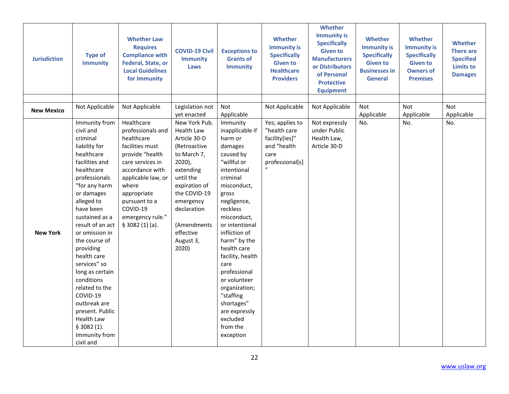| <b>Jurisdiction</b> | <b>Type of</b><br><b>Immunity</b>                                                                                                                                                                                                                                                                                                                                                                                                                                        | <b>Whether Law</b><br><b>Requires</b><br><b>Compliance with</b><br>Federal, State, or<br><b>Local Guidelines</b><br>for Immunity                                                                                                               | <b>COVID-19 Civil</b><br><b>Immunity</b><br>Laws                                                                                                                                                                                        | <b>Exceptions to</b><br><b>Grants of</b><br><b>Immunity</b>                                                                                                                                                                                                                                                                                                                                                | <b>Whether</b><br><b>Immunity is</b><br><b>Specifically</b><br><b>Given to</b><br><b>Healthcare</b><br><b>Providers</b> | Whether<br><b>Immunity is</b><br><b>Specifically</b><br><b>Given to</b><br><b>Manufacturers</b><br>or Distributors<br>of Personal<br><b>Protective</b><br><b>Equipment</b> | <b>Whether</b><br><b>Immunity is</b><br><b>Specifically</b><br><b>Given to</b><br><b>Businesses in</b><br><b>General</b> | <b>Whether</b><br><b>Immunity is</b><br><b>Specifically</b><br><b>Given to</b><br><b>Owners of</b><br><b>Premises</b> | <b>Whether</b><br><b>There are</b><br><b>Specified</b><br><b>Limits to</b><br><b>Damages</b> |
|---------------------|--------------------------------------------------------------------------------------------------------------------------------------------------------------------------------------------------------------------------------------------------------------------------------------------------------------------------------------------------------------------------------------------------------------------------------------------------------------------------|------------------------------------------------------------------------------------------------------------------------------------------------------------------------------------------------------------------------------------------------|-----------------------------------------------------------------------------------------------------------------------------------------------------------------------------------------------------------------------------------------|------------------------------------------------------------------------------------------------------------------------------------------------------------------------------------------------------------------------------------------------------------------------------------------------------------------------------------------------------------------------------------------------------------|-------------------------------------------------------------------------------------------------------------------------|----------------------------------------------------------------------------------------------------------------------------------------------------------------------------|--------------------------------------------------------------------------------------------------------------------------|-----------------------------------------------------------------------------------------------------------------------|----------------------------------------------------------------------------------------------|
|                     |                                                                                                                                                                                                                                                                                                                                                                                                                                                                          |                                                                                                                                                                                                                                                |                                                                                                                                                                                                                                         |                                                                                                                                                                                                                                                                                                                                                                                                            |                                                                                                                         |                                                                                                                                                                            |                                                                                                                          |                                                                                                                       |                                                                                              |
| <b>New Mexico</b>   | Not Applicable                                                                                                                                                                                                                                                                                                                                                                                                                                                           | Not Applicable                                                                                                                                                                                                                                 | Legislation not<br>vet enacted                                                                                                                                                                                                          | Not<br>Applicable                                                                                                                                                                                                                                                                                                                                                                                          | Not Applicable                                                                                                          | Not Applicable                                                                                                                                                             | Not<br>Applicable                                                                                                        | Not<br>Applicable                                                                                                     | Not<br>Applicable                                                                            |
| <b>New York</b>     | Immunity from<br>civil and<br>criminal<br>liability for<br>healthcare<br>facilities and<br>healthcare<br>professionals<br>"for any harm<br>or damages<br>alleged to<br>have been<br>sustained as a<br>result of an act<br>or omission in<br>the course of<br>providing<br>health care<br>services" so<br>long as certain<br>conditions<br>related to the<br>COVID-19<br>outbreak are<br>present. Public<br><b>Health Law</b><br>\$3082(1).<br>Immunity from<br>civil and | Healthcare<br>professionals and<br>healthcare<br>facilities must<br>provide "health<br>care services in<br>accordance with<br>applicable law, or<br>where<br>appropriate<br>pursuant to a<br>COVID-19<br>emergency rule."<br>$§$ 3082 (1) (a). | New York Pub.<br><b>Health Law</b><br>Article 30-D<br>(Retroactive<br>to March 7,<br>$2020$ ),<br>extending<br>until the<br>expiration of<br>the COVID-19<br>emergency<br>declaration<br>(Amendments<br>effective<br>August 3,<br>2020) | Immunity<br>inapplicable if<br>harm or<br>damages<br>caused by<br>"willful or<br>intentional<br>criminal<br>misconduct,<br>gross<br>negligence,<br>reckless<br>misconduct,<br>or intentional<br>infliction of<br>harm" by the<br>health care<br>facility, health<br>care<br>professional<br>or volunteer<br>organization;<br>"staffing<br>shortages"<br>are expressly<br>excluded<br>from the<br>exception | Yes; applies to<br>"health care<br>facility[ies]"<br>and "health<br>care<br>professional[s]                             | Not expressly<br>under Public<br>Health Law,<br>Article 30-D                                                                                                               | No.                                                                                                                      | No.                                                                                                                   | No.                                                                                          |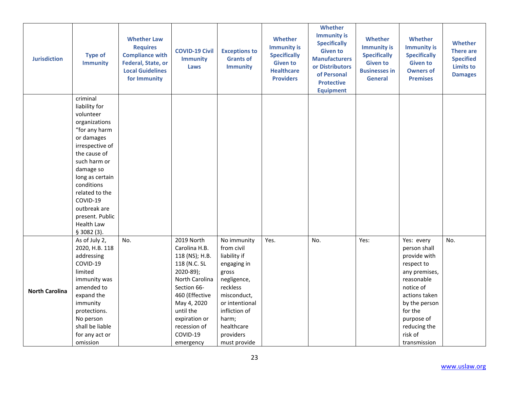| <b>Jurisdiction</b>   | <b>Type of</b><br><b>Immunity</b> | <b>Whether Law</b><br><b>Requires</b><br><b>Compliance with</b><br><b>Federal, State, or</b><br><b>Local Guidelines</b><br>for Immunity | <b>COVID-19 Civil</b><br><b>Immunity</b><br>Laws | <b>Exceptions to</b><br><b>Grants of</b><br><b>Immunity</b> | Whether<br><b>Immunity is</b><br><b>Specifically</b><br><b>Given to</b><br><b>Healthcare</b><br><b>Providers</b> | Whether<br><b>Immunity is</b><br><b>Specifically</b><br><b>Given to</b><br><b>Manufacturers</b><br>or Distributors<br>of Personal<br><b>Protective</b><br><b>Equipment</b> | Whether<br><b>Immunity is</b><br><b>Specifically</b><br><b>Given to</b><br><b>Businesses in</b><br><b>General</b> | Whether<br><b>Immunity is</b><br><b>Specifically</b><br><b>Given to</b><br><b>Owners of</b><br><b>Premises</b> | <b>Whether</b><br><b>There are</b><br><b>Specified</b><br><b>Limits to</b><br><b>Damages</b> |
|-----------------------|-----------------------------------|-----------------------------------------------------------------------------------------------------------------------------------------|--------------------------------------------------|-------------------------------------------------------------|------------------------------------------------------------------------------------------------------------------|----------------------------------------------------------------------------------------------------------------------------------------------------------------------------|-------------------------------------------------------------------------------------------------------------------|----------------------------------------------------------------------------------------------------------------|----------------------------------------------------------------------------------------------|
|                       | criminal                          |                                                                                                                                         |                                                  |                                                             |                                                                                                                  |                                                                                                                                                                            |                                                                                                                   |                                                                                                                |                                                                                              |
|                       | liability for                     |                                                                                                                                         |                                                  |                                                             |                                                                                                                  |                                                                                                                                                                            |                                                                                                                   |                                                                                                                |                                                                                              |
|                       | volunteer                         |                                                                                                                                         |                                                  |                                                             |                                                                                                                  |                                                                                                                                                                            |                                                                                                                   |                                                                                                                |                                                                                              |
|                       | organizations                     |                                                                                                                                         |                                                  |                                                             |                                                                                                                  |                                                                                                                                                                            |                                                                                                                   |                                                                                                                |                                                                                              |
|                       | "for any harm                     |                                                                                                                                         |                                                  |                                                             |                                                                                                                  |                                                                                                                                                                            |                                                                                                                   |                                                                                                                |                                                                                              |
|                       | or damages                        |                                                                                                                                         |                                                  |                                                             |                                                                                                                  |                                                                                                                                                                            |                                                                                                                   |                                                                                                                |                                                                                              |
|                       | irrespective of                   |                                                                                                                                         |                                                  |                                                             |                                                                                                                  |                                                                                                                                                                            |                                                                                                                   |                                                                                                                |                                                                                              |
|                       | the cause of                      |                                                                                                                                         |                                                  |                                                             |                                                                                                                  |                                                                                                                                                                            |                                                                                                                   |                                                                                                                |                                                                                              |
|                       | such harm or                      |                                                                                                                                         |                                                  |                                                             |                                                                                                                  |                                                                                                                                                                            |                                                                                                                   |                                                                                                                |                                                                                              |
|                       | damage so                         |                                                                                                                                         |                                                  |                                                             |                                                                                                                  |                                                                                                                                                                            |                                                                                                                   |                                                                                                                |                                                                                              |
|                       | long as certain                   |                                                                                                                                         |                                                  |                                                             |                                                                                                                  |                                                                                                                                                                            |                                                                                                                   |                                                                                                                |                                                                                              |
|                       | conditions                        |                                                                                                                                         |                                                  |                                                             |                                                                                                                  |                                                                                                                                                                            |                                                                                                                   |                                                                                                                |                                                                                              |
|                       | related to the                    |                                                                                                                                         |                                                  |                                                             |                                                                                                                  |                                                                                                                                                                            |                                                                                                                   |                                                                                                                |                                                                                              |
|                       | COVID-19                          |                                                                                                                                         |                                                  |                                                             |                                                                                                                  |                                                                                                                                                                            |                                                                                                                   |                                                                                                                |                                                                                              |
|                       | outbreak are                      |                                                                                                                                         |                                                  |                                                             |                                                                                                                  |                                                                                                                                                                            |                                                                                                                   |                                                                                                                |                                                                                              |
|                       | present. Public                   |                                                                                                                                         |                                                  |                                                             |                                                                                                                  |                                                                                                                                                                            |                                                                                                                   |                                                                                                                |                                                                                              |
|                       | <b>Health Law</b>                 |                                                                                                                                         |                                                  |                                                             |                                                                                                                  |                                                                                                                                                                            |                                                                                                                   |                                                                                                                |                                                                                              |
|                       | \$3082(3).                        |                                                                                                                                         |                                                  |                                                             |                                                                                                                  |                                                                                                                                                                            |                                                                                                                   |                                                                                                                |                                                                                              |
|                       | As of July 2,<br>2020, H.B. 118   | No.                                                                                                                                     | 2019 North<br>Carolina H.B.                      | No immunity<br>from civil                                   | Yes.                                                                                                             | No.                                                                                                                                                                        | Yes:                                                                                                              | Yes: every<br>person shall                                                                                     | No.                                                                                          |
|                       | addressing                        |                                                                                                                                         | 118 (NS); H.B.                                   | liability if                                                |                                                                                                                  |                                                                                                                                                                            |                                                                                                                   | provide with                                                                                                   |                                                                                              |
|                       | COVID-19                          |                                                                                                                                         | 118 (N.C. SL                                     | engaging in                                                 |                                                                                                                  |                                                                                                                                                                            |                                                                                                                   | respect to                                                                                                     |                                                                                              |
|                       | limited                           |                                                                                                                                         | 2020-89);                                        | gross                                                       |                                                                                                                  |                                                                                                                                                                            |                                                                                                                   | any premises,                                                                                                  |                                                                                              |
|                       | immunity was                      |                                                                                                                                         | North Carolina                                   | negligence,                                                 |                                                                                                                  |                                                                                                                                                                            |                                                                                                                   | reasonable                                                                                                     |                                                                                              |
|                       | amended to                        |                                                                                                                                         | Section 66-                                      | reckless                                                    |                                                                                                                  |                                                                                                                                                                            |                                                                                                                   | notice of                                                                                                      |                                                                                              |
| <b>North Carolina</b> | expand the                        |                                                                                                                                         | 460 (Effective                                   | misconduct,                                                 |                                                                                                                  |                                                                                                                                                                            |                                                                                                                   | actions taken                                                                                                  |                                                                                              |
|                       | immunity                          |                                                                                                                                         | May 4, 2020                                      | or intentional                                              |                                                                                                                  |                                                                                                                                                                            |                                                                                                                   | by the person                                                                                                  |                                                                                              |
|                       | protections.                      |                                                                                                                                         | until the                                        | infliction of                                               |                                                                                                                  |                                                                                                                                                                            |                                                                                                                   | for the                                                                                                        |                                                                                              |
|                       | No person                         |                                                                                                                                         | expiration or                                    | harm;                                                       |                                                                                                                  |                                                                                                                                                                            |                                                                                                                   | purpose of                                                                                                     |                                                                                              |
|                       | shall be liable                   |                                                                                                                                         | recession of                                     | healthcare                                                  |                                                                                                                  |                                                                                                                                                                            |                                                                                                                   | reducing the                                                                                                   |                                                                                              |
|                       | for any act or                    |                                                                                                                                         | COVID-19                                         | providers                                                   |                                                                                                                  |                                                                                                                                                                            |                                                                                                                   | risk of                                                                                                        |                                                                                              |
|                       | omission                          |                                                                                                                                         | emergency                                        | must provide                                                |                                                                                                                  |                                                                                                                                                                            |                                                                                                                   | transmission                                                                                                   |                                                                                              |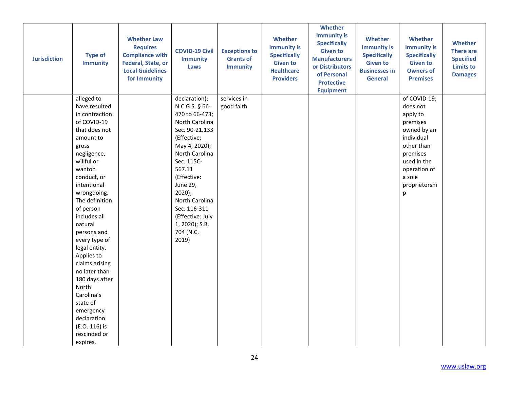| <b>Jurisdiction</b> | <b>Type of</b><br><b>Immunity</b>                                                                                                                                                                                                                                                                                                                                                                                                                                                 | <b>Whether Law</b><br><b>Requires</b><br><b>Compliance with</b><br>Federal, State, or<br><b>Local Guidelines</b><br>for Immunity | <b>COVID-19 Civil</b><br><b>Immunity</b><br>Laws                                                                                                                                                                                                                                                             | <b>Exceptions to</b><br><b>Grants of</b><br><b>Immunity</b> | Whether<br><b>Immunity is</b><br><b>Specifically</b><br><b>Given to</b><br><b>Healthcare</b><br><b>Providers</b> | Whether<br><b>Immunity is</b><br><b>Specifically</b><br><b>Given to</b><br><b>Manufacturers</b><br>or Distributors<br>of Personal<br><b>Protective</b><br><b>Equipment</b> | <b>Whether</b><br><b>Immunity is</b><br><b>Specifically</b><br><b>Given to</b><br><b>Businesses in</b><br><b>General</b> | <b>Whether</b><br><b>Immunity is</b><br><b>Specifically</b><br><b>Given to</b><br><b>Owners of</b><br><b>Premises</b>                                                  | <b>Whether</b><br><b>There are</b><br><b>Specified</b><br><b>Limits to</b><br><b>Damages</b> |
|---------------------|-----------------------------------------------------------------------------------------------------------------------------------------------------------------------------------------------------------------------------------------------------------------------------------------------------------------------------------------------------------------------------------------------------------------------------------------------------------------------------------|----------------------------------------------------------------------------------------------------------------------------------|--------------------------------------------------------------------------------------------------------------------------------------------------------------------------------------------------------------------------------------------------------------------------------------------------------------|-------------------------------------------------------------|------------------------------------------------------------------------------------------------------------------|----------------------------------------------------------------------------------------------------------------------------------------------------------------------------|--------------------------------------------------------------------------------------------------------------------------|------------------------------------------------------------------------------------------------------------------------------------------------------------------------|----------------------------------------------------------------------------------------------|
|                     | alleged to<br>have resulted<br>in contraction<br>of COVID-19<br>that does not<br>amount to<br>gross<br>negligence,<br>willful or<br>wanton<br>conduct, or<br>intentional<br>wrongdoing.<br>The definition<br>of person<br>includes all<br>natural<br>persons and<br>every type of<br>legal entity.<br>Applies to<br>claims arising<br>no later than<br>180 days after<br>North<br>Carolina's<br>state of<br>emergency<br>declaration<br>(E.O. 116) is<br>rescinded or<br>expires. |                                                                                                                                  | declaration);<br>N.C.G.S. § 66-<br>470 to 66-473;<br>North Carolina<br>Sec. 90-21.133<br>(Effective:<br>May 4, 2020);<br>North Carolina<br>Sec. 115C-<br>567.11<br>(Effective:<br><b>June 29,</b><br>$2020$ );<br>North Carolina<br>Sec. 116-311<br>(Effective: July<br>1, 2020); S.B.<br>704 (N.C.<br>2019) | services in<br>good faith                                   |                                                                                                                  |                                                                                                                                                                            |                                                                                                                          | of COVID-19;<br>does not<br>apply to<br>premises<br>owned by an<br>individual<br>other than<br>premises<br>used in the<br>operation of<br>a sole<br>proprietorshi<br>р |                                                                                              |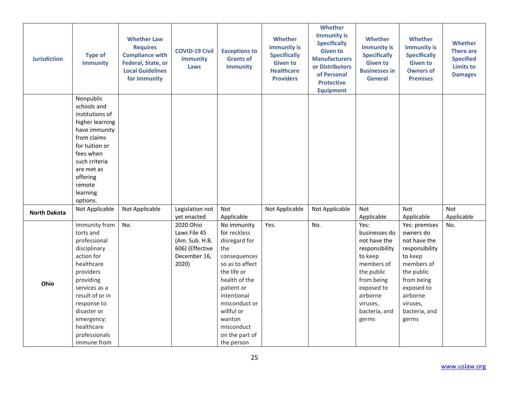| <b>Jurisdiction</b> | <b>Type of</b><br><b>Immunity</b>                                                                                                                                                                                                              | <b>Whether Law</b><br><b>Requires</b><br><b>Compliance with</b><br>Federal, State, or<br><b>Local Guidelines</b><br>for Immunity | <b>COVID-19 Civil</b><br><b>Immunity</b><br>Laws                                        | <b>Exceptions to</b><br><b>Grants of</b><br><b>Immunity</b>                                                                                                                                                                                | <b>Whether</b><br><b>Immunity is</b><br><b>Specifically</b><br><b>Given to</b><br><b>Healthcare</b><br><b>Providers</b> | Whether<br><b>Immunity is</b><br><b>Specifically</b><br><b>Given to</b><br><b>Manufacturers</b><br>or Distributors<br>of Personal<br><b>Protective</b><br><b>Equipment</b> | <b>Whether</b><br><b>Immunity is</b><br><b>Specifically</b><br><b>Given to</b><br><b>Businesses in</b><br><b>General</b>                                                     | <b>Whether</b><br><b>Immunity is</b><br><b>Specifically</b><br><b>Given to</b><br><b>Owners of</b><br><b>Premises</b>                                                             | <b>Whether</b><br><b>There are</b><br><b>Specified</b><br><b>Limits to</b><br><b>Damages</b> |
|---------------------|------------------------------------------------------------------------------------------------------------------------------------------------------------------------------------------------------------------------------------------------|----------------------------------------------------------------------------------------------------------------------------------|-----------------------------------------------------------------------------------------|--------------------------------------------------------------------------------------------------------------------------------------------------------------------------------------------------------------------------------------------|-------------------------------------------------------------------------------------------------------------------------|----------------------------------------------------------------------------------------------------------------------------------------------------------------------------|------------------------------------------------------------------------------------------------------------------------------------------------------------------------------|-----------------------------------------------------------------------------------------------------------------------------------------------------------------------------------|----------------------------------------------------------------------------------------------|
|                     | Nonpublic<br>schools and<br>institutions of<br>higher learning<br>have immunity<br>from claims<br>for tuition or<br>fees when<br>such criteria<br>are met as<br>offering<br>remote<br>learning<br>options.                                     |                                                                                                                                  |                                                                                         |                                                                                                                                                                                                                                            |                                                                                                                         |                                                                                                                                                                            |                                                                                                                                                                              |                                                                                                                                                                                   |                                                                                              |
| <b>North Dakota</b> | Not Applicable                                                                                                                                                                                                                                 | Not Applicable                                                                                                                   | Legislation not<br>yet enacted                                                          | Not<br>Applicable                                                                                                                                                                                                                          | Not Applicable                                                                                                          | Not Applicable                                                                                                                                                             | Not<br>Applicable                                                                                                                                                            | Not<br>Applicable                                                                                                                                                                 | Not<br>Applicable                                                                            |
| Ohio                | Immunity from<br>torts and<br>professional<br>disciplinary<br>action for<br>healthcare<br>providers<br>providing<br>services as a<br>result of or in<br>response to<br>disaster or<br>emergency;<br>healthcare<br>professionals<br>immune from | No.                                                                                                                              | 2020 Ohio<br>Laws File 45<br>(Am. Sub. H.B.<br>606) (Effective<br>December 16,<br>2020) | No immunity<br>for reckless<br>disregard for<br>the<br>consequences<br>so as to affect<br>the life or<br>health of the<br>patient or<br>intentional<br>misconduct or<br>willful or<br>wanton<br>misconduct<br>on the part of<br>the person | Yes.                                                                                                                    | No.                                                                                                                                                                        | Yes:<br>businesses do<br>not have the<br>responsibility<br>to keep<br>members of<br>the public<br>from being<br>exposed to<br>airborne<br>viruses,<br>bacteria, and<br>germs | Yes: premises<br>owners do<br>not have the<br>responsibility<br>to keep<br>members of<br>the public<br>from being<br>exposed to<br>airborne<br>viruses,<br>bacteria, and<br>germs | No.                                                                                          |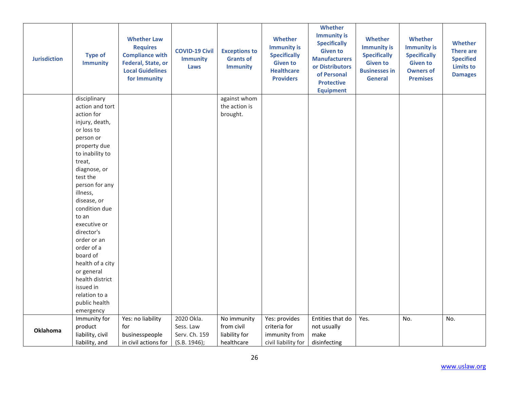| <b>Jurisdiction</b> | <b>Type of</b><br><b>Immunity</b> | <b>Whether Law</b><br><b>Requires</b><br><b>Compliance with</b><br>Federal, State, or<br><b>Local Guidelines</b><br>for Immunity | <b>COVID-19 Civil</b><br><b>Immunity</b><br>Laws | <b>Exceptions to</b><br><b>Grants of</b><br><b>Immunity</b> | Whether<br><b>Immunity is</b><br><b>Specifically</b><br><b>Given to</b><br><b>Healthcare</b><br><b>Providers</b> | Whether<br><b>Immunity is</b><br><b>Specifically</b><br><b>Given to</b><br><b>Manufacturers</b><br>or Distributors<br>of Personal<br><b>Protective</b><br><b>Equipment</b> | Whether<br><b>Immunity is</b><br><b>Specifically</b><br><b>Given to</b><br><b>Businesses in</b><br><b>General</b> | <b>Whether</b><br><b>Immunity is</b><br><b>Specifically</b><br><b>Given to</b><br><b>Owners of</b><br><b>Premises</b> | Whether<br><b>There are</b><br><b>Specified</b><br><b>Limits to</b><br><b>Damages</b> |
|---------------------|-----------------------------------|----------------------------------------------------------------------------------------------------------------------------------|--------------------------------------------------|-------------------------------------------------------------|------------------------------------------------------------------------------------------------------------------|----------------------------------------------------------------------------------------------------------------------------------------------------------------------------|-------------------------------------------------------------------------------------------------------------------|-----------------------------------------------------------------------------------------------------------------------|---------------------------------------------------------------------------------------|
|                     | disciplinary                      |                                                                                                                                  |                                                  | against whom                                                |                                                                                                                  |                                                                                                                                                                            |                                                                                                                   |                                                                                                                       |                                                                                       |
|                     | action and tort                   |                                                                                                                                  |                                                  | the action is                                               |                                                                                                                  |                                                                                                                                                                            |                                                                                                                   |                                                                                                                       |                                                                                       |
|                     | action for                        |                                                                                                                                  |                                                  | brought.                                                    |                                                                                                                  |                                                                                                                                                                            |                                                                                                                   |                                                                                                                       |                                                                                       |
|                     | injury, death,                    |                                                                                                                                  |                                                  |                                                             |                                                                                                                  |                                                                                                                                                                            |                                                                                                                   |                                                                                                                       |                                                                                       |
|                     | or loss to                        |                                                                                                                                  |                                                  |                                                             |                                                                                                                  |                                                                                                                                                                            |                                                                                                                   |                                                                                                                       |                                                                                       |
|                     | person or                         |                                                                                                                                  |                                                  |                                                             |                                                                                                                  |                                                                                                                                                                            |                                                                                                                   |                                                                                                                       |                                                                                       |
|                     | property due                      |                                                                                                                                  |                                                  |                                                             |                                                                                                                  |                                                                                                                                                                            |                                                                                                                   |                                                                                                                       |                                                                                       |
|                     | to inability to                   |                                                                                                                                  |                                                  |                                                             |                                                                                                                  |                                                                                                                                                                            |                                                                                                                   |                                                                                                                       |                                                                                       |
|                     | treat,                            |                                                                                                                                  |                                                  |                                                             |                                                                                                                  |                                                                                                                                                                            |                                                                                                                   |                                                                                                                       |                                                                                       |
|                     | diagnose, or                      |                                                                                                                                  |                                                  |                                                             |                                                                                                                  |                                                                                                                                                                            |                                                                                                                   |                                                                                                                       |                                                                                       |
|                     | test the                          |                                                                                                                                  |                                                  |                                                             |                                                                                                                  |                                                                                                                                                                            |                                                                                                                   |                                                                                                                       |                                                                                       |
|                     | person for any                    |                                                                                                                                  |                                                  |                                                             |                                                                                                                  |                                                                                                                                                                            |                                                                                                                   |                                                                                                                       |                                                                                       |
|                     | illness,                          |                                                                                                                                  |                                                  |                                                             |                                                                                                                  |                                                                                                                                                                            |                                                                                                                   |                                                                                                                       |                                                                                       |
|                     | disease, or                       |                                                                                                                                  |                                                  |                                                             |                                                                                                                  |                                                                                                                                                                            |                                                                                                                   |                                                                                                                       |                                                                                       |
|                     | condition due                     |                                                                                                                                  |                                                  |                                                             |                                                                                                                  |                                                                                                                                                                            |                                                                                                                   |                                                                                                                       |                                                                                       |
|                     | to an                             |                                                                                                                                  |                                                  |                                                             |                                                                                                                  |                                                                                                                                                                            |                                                                                                                   |                                                                                                                       |                                                                                       |
|                     | executive or                      |                                                                                                                                  |                                                  |                                                             |                                                                                                                  |                                                                                                                                                                            |                                                                                                                   |                                                                                                                       |                                                                                       |
|                     | director's                        |                                                                                                                                  |                                                  |                                                             |                                                                                                                  |                                                                                                                                                                            |                                                                                                                   |                                                                                                                       |                                                                                       |
|                     | order or an                       |                                                                                                                                  |                                                  |                                                             |                                                                                                                  |                                                                                                                                                                            |                                                                                                                   |                                                                                                                       |                                                                                       |
|                     | order of a                        |                                                                                                                                  |                                                  |                                                             |                                                                                                                  |                                                                                                                                                                            |                                                                                                                   |                                                                                                                       |                                                                                       |
|                     | board of                          |                                                                                                                                  |                                                  |                                                             |                                                                                                                  |                                                                                                                                                                            |                                                                                                                   |                                                                                                                       |                                                                                       |
|                     | health of a city                  |                                                                                                                                  |                                                  |                                                             |                                                                                                                  |                                                                                                                                                                            |                                                                                                                   |                                                                                                                       |                                                                                       |
|                     | or general                        |                                                                                                                                  |                                                  |                                                             |                                                                                                                  |                                                                                                                                                                            |                                                                                                                   |                                                                                                                       |                                                                                       |
|                     | health district                   |                                                                                                                                  |                                                  |                                                             |                                                                                                                  |                                                                                                                                                                            |                                                                                                                   |                                                                                                                       |                                                                                       |
|                     | issued in                         |                                                                                                                                  |                                                  |                                                             |                                                                                                                  |                                                                                                                                                                            |                                                                                                                   |                                                                                                                       |                                                                                       |
|                     | relation to a                     |                                                                                                                                  |                                                  |                                                             |                                                                                                                  |                                                                                                                                                                            |                                                                                                                   |                                                                                                                       |                                                                                       |
|                     | public health                     |                                                                                                                                  |                                                  |                                                             |                                                                                                                  |                                                                                                                                                                            |                                                                                                                   |                                                                                                                       |                                                                                       |
|                     | emergency                         |                                                                                                                                  |                                                  |                                                             |                                                                                                                  |                                                                                                                                                                            |                                                                                                                   |                                                                                                                       |                                                                                       |
|                     | Immunity for                      | Yes: no liability                                                                                                                | 2020 Okla.                                       | No immunity                                                 | Yes: provides                                                                                                    | Entities that do                                                                                                                                                           | Yes.                                                                                                              | No.                                                                                                                   | No.                                                                                   |
| Oklahoma            | product                           | for                                                                                                                              | Sess. Law                                        | from civil                                                  | criteria for                                                                                                     | not usually<br>make                                                                                                                                                        |                                                                                                                   |                                                                                                                       |                                                                                       |
|                     | liability, civil                  | businesspeople                                                                                                                   | Serv. Ch. 159                                    | liability for                                               | immunity from                                                                                                    |                                                                                                                                                                            |                                                                                                                   |                                                                                                                       |                                                                                       |
|                     | liability, and                    | in civil actions for                                                                                                             | (S.B. 1946);                                     | healthcare                                                  | civil liability for                                                                                              | disinfecting                                                                                                                                                               |                                                                                                                   |                                                                                                                       |                                                                                       |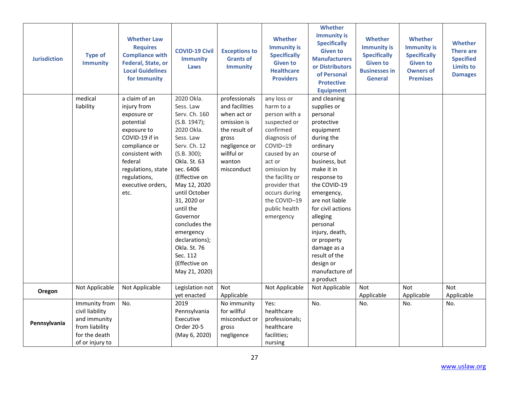| <b>Jurisdiction</b> | <b>Type of</b><br><b>Immunity</b>                                                                      | <b>Whether Law</b><br><b>Requires</b><br><b>Compliance with</b><br>Federal, State, or<br><b>Local Guidelines</b><br>for Immunity                                                                            | <b>COVID-19 Civil</b><br><b>Immunity</b><br>Laws                                                                                                                                                                                                                                                                                                        | <b>Exceptions to</b><br><b>Grants of</b><br><b>Immunity</b>                                                                                    | <b>Whether</b><br><b>Immunity is</b><br><b>Specifically</b><br><b>Given to</b><br><b>Healthcare</b><br><b>Providers</b>                                                                                                                        | Whether<br><b>Immunity is</b><br><b>Specifically</b><br><b>Given to</b><br><b>Manufacturers</b><br>or Distributors<br>of Personal<br><b>Protective</b><br><b>Equipment</b>                                                                                                                                                                                        | <b>Whether</b><br><b>Immunity is</b><br><b>Specifically</b><br><b>Given to</b><br><b>Businesses in</b><br><b>General</b> | <b>Whether</b><br><b>Immunity is</b><br><b>Specifically</b><br><b>Given to</b><br><b>Owners of</b><br><b>Premises</b> | Whether<br><b>There are</b><br><b>Specified</b><br><b>Limits to</b><br><b>Damages</b> |
|---------------------|--------------------------------------------------------------------------------------------------------|-------------------------------------------------------------------------------------------------------------------------------------------------------------------------------------------------------------|---------------------------------------------------------------------------------------------------------------------------------------------------------------------------------------------------------------------------------------------------------------------------------------------------------------------------------------------------------|------------------------------------------------------------------------------------------------------------------------------------------------|------------------------------------------------------------------------------------------------------------------------------------------------------------------------------------------------------------------------------------------------|-------------------------------------------------------------------------------------------------------------------------------------------------------------------------------------------------------------------------------------------------------------------------------------------------------------------------------------------------------------------|--------------------------------------------------------------------------------------------------------------------------|-----------------------------------------------------------------------------------------------------------------------|---------------------------------------------------------------------------------------|
|                     | medical<br>liability                                                                                   | a claim of an<br>injury from<br>exposure or<br>potential<br>exposure to<br>COVID-19 if in<br>compliance or<br>consistent with<br>federal<br>regulations, state<br>regulations,<br>executive orders,<br>etc. | 2020 Okla.<br>Sess. Law<br>Serv. Ch. 160<br>(S.B. 1947);<br>2020 Okla.<br>Sess. Law<br>Serv. Ch. 12<br>(S.B. 300);<br>Okla. St. 63<br>sec. 6406<br>(Effective on<br>May 12, 2020<br>until October<br>31, 2020 or<br>until the<br>Governor<br>concludes the<br>emergency<br>declarations);<br>Okla. St. 76<br>Sec. 112<br>(Effective on<br>May 21, 2020) | professionals<br>and facilities<br>when act or<br>omission is<br>the result of<br>gross<br>negligence or<br>willful or<br>wanton<br>misconduct | any loss or<br>harm to a<br>person with a<br>suspected or<br>confirmed<br>diagnosis of<br>COVID-19<br>caused by an<br>act or<br>omission by<br>the facility or<br>provider that<br>occurs during<br>the COVID-19<br>public health<br>emergency | and cleaning<br>supplies or<br>personal<br>protective<br>equipment<br>during the<br>ordinary<br>course of<br>business, but<br>make it in<br>response to<br>the COVID-19<br>emergency,<br>are not liable<br>for civil actions<br>alleging<br>personal<br>injury, death,<br>or property<br>damage as a<br>result of the<br>design or<br>manufacture of<br>a product |                                                                                                                          |                                                                                                                       |                                                                                       |
| Oregon              | Not Applicable                                                                                         | Not Applicable                                                                                                                                                                                              | Legislation not<br>yet enacted                                                                                                                                                                                                                                                                                                                          | Not<br>Applicable                                                                                                                              | Not Applicable                                                                                                                                                                                                                                 | Not Applicable                                                                                                                                                                                                                                                                                                                                                    | Not<br>Applicable                                                                                                        | <b>Not</b><br>Applicable                                                                                              | <b>Not</b><br>Applicable                                                              |
| Pennsylvania        | Immunity from<br>civil liability<br>and immunity<br>from liability<br>for the death<br>of or injury to | No.                                                                                                                                                                                                         | 2019<br>Pennsylvania<br>Executive<br>Order 20-5<br>(May 6, 2020)                                                                                                                                                                                                                                                                                        | No immunity<br>for willful<br>misconduct or<br>gross<br>negligence                                                                             | Yes:<br>healthcare<br>professionals;<br>healthcare<br>facilities;<br>nursing                                                                                                                                                                   | No.                                                                                                                                                                                                                                                                                                                                                               | No.                                                                                                                      | No.                                                                                                                   | No.                                                                                   |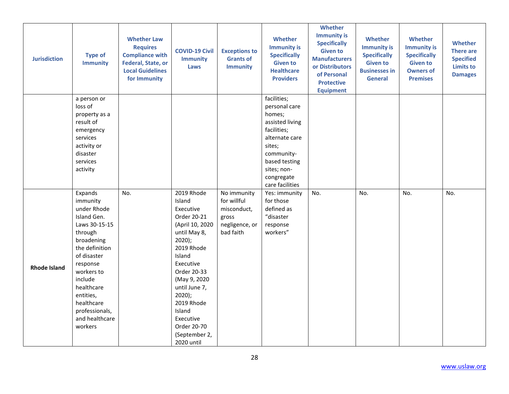| <b>Jurisdiction</b> | <b>Type of</b><br><b>Immunity</b>                                                                                                                                                                                                                         | <b>Whether Law</b><br><b>Requires</b><br><b>Compliance with</b><br>Federal, State, or<br><b>Local Guidelines</b><br>for Immunity | <b>COVID-19 Civil</b><br><b>Immunity</b><br>Laws                                                                                                                                                                                                                                      | <b>Exceptions to</b><br><b>Grants of</b><br><b>Immunity</b>                       | <b>Whether</b><br><b>Immunity is</b><br><b>Specifically</b><br><b>Given to</b><br><b>Healthcare</b><br><b>Providers</b>                                                             | Whether<br><b>Immunity is</b><br><b>Specifically</b><br><b>Given to</b><br><b>Manufacturers</b><br>or Distributors<br>of Personal<br><b>Protective</b><br><b>Equipment</b> | <b>Whether</b><br><b>Immunity is</b><br><b>Specifically</b><br><b>Given to</b><br><b>Businesses in</b><br><b>General</b> | <b>Whether</b><br><b>Immunity is</b><br><b>Specifically</b><br><b>Given to</b><br><b>Owners of</b><br><b>Premises</b> | <b>Whether</b><br><b>There are</b><br><b>Specified</b><br><b>Limits to</b><br><b>Damages</b> |
|---------------------|-----------------------------------------------------------------------------------------------------------------------------------------------------------------------------------------------------------------------------------------------------------|----------------------------------------------------------------------------------------------------------------------------------|---------------------------------------------------------------------------------------------------------------------------------------------------------------------------------------------------------------------------------------------------------------------------------------|-----------------------------------------------------------------------------------|-------------------------------------------------------------------------------------------------------------------------------------------------------------------------------------|----------------------------------------------------------------------------------------------------------------------------------------------------------------------------|--------------------------------------------------------------------------------------------------------------------------|-----------------------------------------------------------------------------------------------------------------------|----------------------------------------------------------------------------------------------|
|                     | a person or<br>loss of<br>property as a<br>result of<br>emergency<br>services<br>activity or<br>disaster<br>services<br>activity                                                                                                                          |                                                                                                                                  |                                                                                                                                                                                                                                                                                       |                                                                                   | facilities;<br>personal care<br>homes;<br>assisted living<br>facilities;<br>alternate care<br>sites;<br>community-<br>based testing<br>sites; non-<br>congregate<br>care facilities |                                                                                                                                                                            |                                                                                                                          |                                                                                                                       |                                                                                              |
| <b>Rhode Island</b> | Expands<br>immunity<br>under Rhode<br>Island Gen.<br>Laws 30-15-15<br>through<br>broadening<br>the definition<br>of disaster<br>response<br>workers to<br>include<br>healthcare<br>entities,<br>healthcare<br>professionals,<br>and healthcare<br>workers | No.                                                                                                                              | 2019 Rhode<br>Island<br>Executive<br>Order 20-21<br>(April 10, 2020<br>until May 8,<br>$2020$ );<br>2019 Rhode<br>Island<br>Executive<br>Order 20-33<br>(May 9, 2020<br>until June 7,<br>$2020$ );<br>2019 Rhode<br>Island<br>Executive<br>Order 20-70<br>(September 2,<br>2020 until | No immunity<br>for willful<br>misconduct,<br>gross<br>negligence, or<br>bad faith | Yes: immunity<br>for those<br>defined as<br>"disaster<br>response<br>workers"                                                                                                       | No.                                                                                                                                                                        | No.                                                                                                                      | No.                                                                                                                   | No.                                                                                          |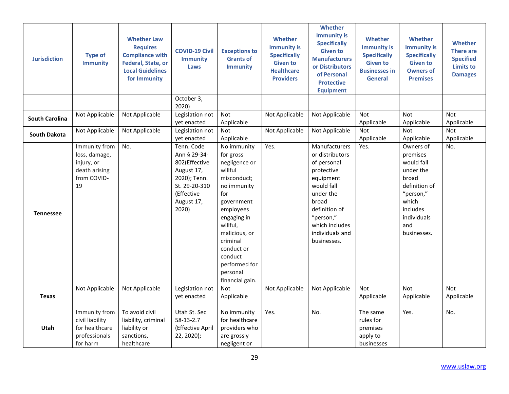| <b>Jurisdiction</b>   | <b>Type of</b><br><b>Immunity</b>                                                  | <b>Whether Law</b><br><b>Requires</b><br><b>Compliance with</b><br><b>Federal, State, or</b><br><b>Local Guidelines</b><br>for Immunity | <b>COVID-19 Civil</b><br><b>Immunity</b><br>Laws                                                                                | <b>Exceptions to</b><br><b>Grants of</b><br><b>Immunity</b>                                                                                                                                                                                           | <b>Whether</b><br><b>Immunity is</b><br><b>Specifically</b><br><b>Given to</b><br><b>Healthcare</b><br><b>Providers</b> | Whether<br><b>Immunity is</b><br><b>Specifically</b><br><b>Given to</b><br><b>Manufacturers</b><br>or Distributors<br>of Personal<br><b>Protective</b><br><b>Equipment</b>                       | <b>Whether</b><br><b>Immunity is</b><br><b>Specifically</b><br><b>Given to</b><br><b>Businesses in</b><br><b>General</b> | <b>Whether</b><br><b>Immunity is</b><br><b>Specifically</b><br><b>Given to</b><br><b>Owners of</b><br><b>Premises</b>                             | Whether<br><b>There are</b><br><b>Specified</b><br><b>Limits to</b><br><b>Damages</b> |
|-----------------------|------------------------------------------------------------------------------------|-----------------------------------------------------------------------------------------------------------------------------------------|---------------------------------------------------------------------------------------------------------------------------------|-------------------------------------------------------------------------------------------------------------------------------------------------------------------------------------------------------------------------------------------------------|-------------------------------------------------------------------------------------------------------------------------|--------------------------------------------------------------------------------------------------------------------------------------------------------------------------------------------------|--------------------------------------------------------------------------------------------------------------------------|---------------------------------------------------------------------------------------------------------------------------------------------------|---------------------------------------------------------------------------------------|
|                       |                                                                                    |                                                                                                                                         | October 3,<br>2020)                                                                                                             |                                                                                                                                                                                                                                                       |                                                                                                                         |                                                                                                                                                                                                  |                                                                                                                          |                                                                                                                                                   |                                                                                       |
| <b>South Carolina</b> | Not Applicable                                                                     | Not Applicable                                                                                                                          | Legislation not<br>yet enacted                                                                                                  | <b>Not</b><br>Applicable                                                                                                                                                                                                                              | Not Applicable                                                                                                          | Not Applicable                                                                                                                                                                                   | <b>Not</b><br>Applicable                                                                                                 | <b>Not</b><br>Applicable                                                                                                                          | <b>Not</b><br>Applicable                                                              |
| <b>South Dakota</b>   | Not Applicable                                                                     | Not Applicable                                                                                                                          | Legislation not<br>yet enacted                                                                                                  | Not<br>Applicable                                                                                                                                                                                                                                     | Not Applicable                                                                                                          | Not Applicable                                                                                                                                                                                   | Not<br>Applicable                                                                                                        | <b>Not</b><br>Applicable                                                                                                                          | Not<br>Applicable                                                                     |
| <b>Tennessee</b>      | Immunity from<br>loss, damage,<br>injury, or<br>death arising<br>from COVID-<br>19 | No.                                                                                                                                     | Tenn. Code<br>Ann § 29-34-<br>802(Effective<br>August 17,<br>2020); Tenn.<br>St. 29-20-310<br>(Effective<br>August 17,<br>2020) | No immunity<br>for gross<br>negligence or<br>willful<br>misconduct;<br>no immunity<br>for<br>government<br>employees<br>engaging in<br>willful,<br>malicious, or<br>criminal<br>conduct or<br>conduct<br>performed for<br>personal<br>financial gain. | Yes.                                                                                                                    | Manufacturers<br>or distributors<br>of personal<br>protective<br>equipment<br>would fall<br>under the<br>broad<br>definition of<br>"person,"<br>which includes<br>individuals and<br>businesses. | Yes.                                                                                                                     | Owners of<br>premises<br>would fall<br>under the<br>broad<br>definition of<br>"person,"<br>which<br>includes<br>individuals<br>and<br>businesses. | No.                                                                                   |
| <b>Texas</b>          | Not Applicable                                                                     | Not Applicable                                                                                                                          | Legislation not<br>yet enacted                                                                                                  | <b>Not</b><br>Applicable                                                                                                                                                                                                                              | Not Applicable                                                                                                          | Not Applicable                                                                                                                                                                                   | <b>Not</b><br>Applicable                                                                                                 | <b>Not</b><br>Applicable                                                                                                                          | <b>Not</b><br>Applicable                                                              |
| Utah                  | Immunity from<br>civil liability<br>for healthcare<br>professionals<br>for harm    | To avoid civil<br>liability, criminal<br>liability or<br>sanctions,<br>healthcare                                                       | Utah St. Sec<br>58-13-2.7<br>(Effective April<br>22, 2020);                                                                     | No immunity<br>for healthcare<br>providers who<br>are grossly<br>negligent or                                                                                                                                                                         | Yes.                                                                                                                    | No.                                                                                                                                                                                              | The same<br>rules for<br>premises<br>apply to<br>businesses                                                              | Yes.                                                                                                                                              | No.                                                                                   |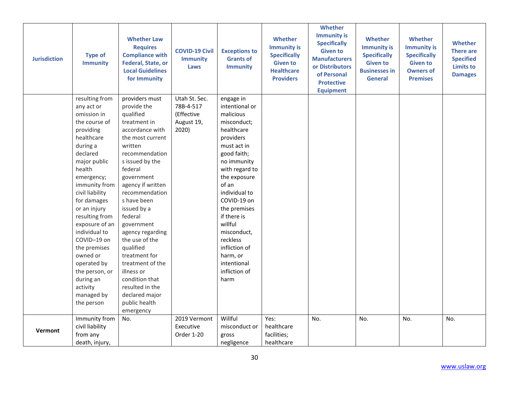| <b>Jurisdiction</b> | <b>Type of</b><br><b>Immunity</b> | <b>Whether Law</b><br><b>Requires</b><br><b>Compliance with</b><br>Federal, State, or<br><b>Local Guidelines</b><br>for Immunity | <b>COVID-19 Civil</b><br><b>Immunity</b><br>Laws | <b>Exceptions to</b><br><b>Grants of</b><br><b>Immunity</b> | <b>Whether</b><br><b>Immunity is</b><br><b>Specifically</b><br><b>Given to</b><br><b>Healthcare</b><br><b>Providers</b> | Whether<br><b>Immunity is</b><br><b>Specifically</b><br><b>Given to</b><br><b>Manufacturers</b><br>or Distributors<br>of Personal<br><b>Protective</b><br><b>Equipment</b> | <b>Whether</b><br><b>Immunity is</b><br><b>Specifically</b><br><b>Given to</b><br><b>Businesses in</b><br><b>General</b> | <b>Whether</b><br><b>Immunity is</b><br><b>Specifically</b><br><b>Given to</b><br><b>Owners of</b><br><b>Premises</b> | Whether<br><b>There are</b><br><b>Specified</b><br><b>Limits to</b><br><b>Damages</b> |
|---------------------|-----------------------------------|----------------------------------------------------------------------------------------------------------------------------------|--------------------------------------------------|-------------------------------------------------------------|-------------------------------------------------------------------------------------------------------------------------|----------------------------------------------------------------------------------------------------------------------------------------------------------------------------|--------------------------------------------------------------------------------------------------------------------------|-----------------------------------------------------------------------------------------------------------------------|---------------------------------------------------------------------------------------|
|                     | resulting from                    | providers must                                                                                                                   | Utah St. Sec.                                    | engage in                                                   |                                                                                                                         |                                                                                                                                                                            |                                                                                                                          |                                                                                                                       |                                                                                       |
|                     | any act or                        | provide the                                                                                                                      | 78B-4-517                                        | intentional or                                              |                                                                                                                         |                                                                                                                                                                            |                                                                                                                          |                                                                                                                       |                                                                                       |
|                     | omission in                       | qualified                                                                                                                        | (Effective                                       | malicious                                                   |                                                                                                                         |                                                                                                                                                                            |                                                                                                                          |                                                                                                                       |                                                                                       |
|                     | the course of                     | treatment in                                                                                                                     | August 19,                                       | misconduct;                                                 |                                                                                                                         |                                                                                                                                                                            |                                                                                                                          |                                                                                                                       |                                                                                       |
|                     | providing                         | accordance with                                                                                                                  | 2020)                                            | healthcare                                                  |                                                                                                                         |                                                                                                                                                                            |                                                                                                                          |                                                                                                                       |                                                                                       |
|                     | healthcare                        | the most current                                                                                                                 |                                                  | providers                                                   |                                                                                                                         |                                                                                                                                                                            |                                                                                                                          |                                                                                                                       |                                                                                       |
|                     | during a                          | written                                                                                                                          |                                                  | must act in                                                 |                                                                                                                         |                                                                                                                                                                            |                                                                                                                          |                                                                                                                       |                                                                                       |
|                     | declared                          | recommendation                                                                                                                   |                                                  | good faith;<br>no immunity                                  |                                                                                                                         |                                                                                                                                                                            |                                                                                                                          |                                                                                                                       |                                                                                       |
|                     | major public<br>health            | s issued by the<br>federal                                                                                                       |                                                  | with regard to                                              |                                                                                                                         |                                                                                                                                                                            |                                                                                                                          |                                                                                                                       |                                                                                       |
|                     | emergency;                        | government                                                                                                                       |                                                  | the exposure                                                |                                                                                                                         |                                                                                                                                                                            |                                                                                                                          |                                                                                                                       |                                                                                       |
|                     | immunity from                     | agency if written                                                                                                                |                                                  | of an                                                       |                                                                                                                         |                                                                                                                                                                            |                                                                                                                          |                                                                                                                       |                                                                                       |
|                     | civil liability                   | recommendation                                                                                                                   |                                                  | individual to                                               |                                                                                                                         |                                                                                                                                                                            |                                                                                                                          |                                                                                                                       |                                                                                       |
|                     | for damages                       | s have been                                                                                                                      |                                                  | COVID-19 on                                                 |                                                                                                                         |                                                                                                                                                                            |                                                                                                                          |                                                                                                                       |                                                                                       |
|                     | or an injury                      | issued by a                                                                                                                      |                                                  | the premises                                                |                                                                                                                         |                                                                                                                                                                            |                                                                                                                          |                                                                                                                       |                                                                                       |
|                     | resulting from                    | federal                                                                                                                          |                                                  | if there is                                                 |                                                                                                                         |                                                                                                                                                                            |                                                                                                                          |                                                                                                                       |                                                                                       |
|                     | exposure of an                    | government                                                                                                                       |                                                  | willful                                                     |                                                                                                                         |                                                                                                                                                                            |                                                                                                                          |                                                                                                                       |                                                                                       |
|                     | individual to                     | agency regarding                                                                                                                 |                                                  | misconduct,                                                 |                                                                                                                         |                                                                                                                                                                            |                                                                                                                          |                                                                                                                       |                                                                                       |
|                     | COVID-19 on                       | the use of the                                                                                                                   |                                                  | reckless                                                    |                                                                                                                         |                                                                                                                                                                            |                                                                                                                          |                                                                                                                       |                                                                                       |
|                     | the premises                      | qualified                                                                                                                        |                                                  | infliction of                                               |                                                                                                                         |                                                                                                                                                                            |                                                                                                                          |                                                                                                                       |                                                                                       |
|                     | owned or                          | treatment for                                                                                                                    |                                                  | harm, or                                                    |                                                                                                                         |                                                                                                                                                                            |                                                                                                                          |                                                                                                                       |                                                                                       |
|                     | operated by                       | treatment of the                                                                                                                 |                                                  | intentional                                                 |                                                                                                                         |                                                                                                                                                                            |                                                                                                                          |                                                                                                                       |                                                                                       |
|                     | the person, or                    | illness or                                                                                                                       |                                                  | infliction of                                               |                                                                                                                         |                                                                                                                                                                            |                                                                                                                          |                                                                                                                       |                                                                                       |
|                     | during an                         | condition that                                                                                                                   |                                                  | harm                                                        |                                                                                                                         |                                                                                                                                                                            |                                                                                                                          |                                                                                                                       |                                                                                       |
|                     | activity                          | resulted in the                                                                                                                  |                                                  |                                                             |                                                                                                                         |                                                                                                                                                                            |                                                                                                                          |                                                                                                                       |                                                                                       |
|                     | managed by                        | declared major                                                                                                                   |                                                  |                                                             |                                                                                                                         |                                                                                                                                                                            |                                                                                                                          |                                                                                                                       |                                                                                       |
|                     | the person                        | public health                                                                                                                    |                                                  |                                                             |                                                                                                                         |                                                                                                                                                                            |                                                                                                                          |                                                                                                                       |                                                                                       |
|                     |                                   | emergency                                                                                                                        |                                                  |                                                             |                                                                                                                         |                                                                                                                                                                            |                                                                                                                          |                                                                                                                       |                                                                                       |
|                     | Immunity from                     | No.                                                                                                                              | 2019 Vermont                                     | Willful                                                     | Yes:                                                                                                                    | No.                                                                                                                                                                        | No.                                                                                                                      | No.                                                                                                                   | No.                                                                                   |
| Vermont             | civil liability                   |                                                                                                                                  | Executive                                        | misconduct or                                               | healthcare                                                                                                              |                                                                                                                                                                            |                                                                                                                          |                                                                                                                       |                                                                                       |
|                     | from any                          |                                                                                                                                  | Order 1-20                                       | gross                                                       | facilities;                                                                                                             |                                                                                                                                                                            |                                                                                                                          |                                                                                                                       |                                                                                       |
|                     | death, injury,                    |                                                                                                                                  |                                                  | negligence                                                  | healthcare                                                                                                              |                                                                                                                                                                            |                                                                                                                          |                                                                                                                       |                                                                                       |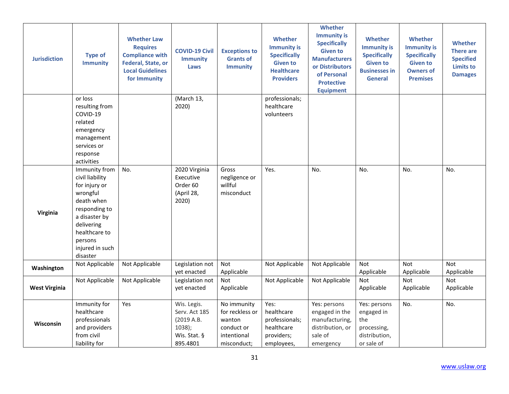| <b>Jurisdiction</b>  | <b>Type of</b><br><b>Immunity</b>                                                                                                                                                      | <b>Whether Law</b><br><b>Requires</b><br><b>Compliance with</b><br>Federal, State, or<br><b>Local Guidelines</b><br>for Immunity | <b>COVID-19 Civil</b><br><b>Immunity</b><br>Laws                                 | <b>Exceptions to</b><br><b>Grants of</b><br><b>Immunity</b>                          | <b>Whether</b><br><b>Immunity is</b><br><b>Specifically</b><br><b>Given to</b><br><b>Healthcare</b><br><b>Providers</b> | Whether<br><b>Immunity is</b><br><b>Specifically</b><br><b>Given to</b><br><b>Manufacturers</b><br>or Distributors<br>of Personal<br><b>Protective</b><br><b>Equipment</b> | <b>Whether</b><br><b>Immunity is</b><br><b>Specifically</b><br><b>Given to</b><br><b>Businesses in</b><br><b>General</b> | <b>Whether</b><br><b>Immunity is</b><br><b>Specifically</b><br><b>Given to</b><br><b>Owners of</b><br><b>Premises</b> | <b>Whether</b><br>There are<br><b>Specified</b><br><b>Limits to</b><br><b>Damages</b> |
|----------------------|----------------------------------------------------------------------------------------------------------------------------------------------------------------------------------------|----------------------------------------------------------------------------------------------------------------------------------|----------------------------------------------------------------------------------|--------------------------------------------------------------------------------------|-------------------------------------------------------------------------------------------------------------------------|----------------------------------------------------------------------------------------------------------------------------------------------------------------------------|--------------------------------------------------------------------------------------------------------------------------|-----------------------------------------------------------------------------------------------------------------------|---------------------------------------------------------------------------------------|
|                      | or loss<br>resulting from<br>COVID-19<br>related<br>emergency<br>management<br>services or<br>response<br>activities                                                                   |                                                                                                                                  | (March 13,<br>2020)                                                              |                                                                                      | professionals;<br>healthcare<br>volunteers                                                                              |                                                                                                                                                                            |                                                                                                                          |                                                                                                                       |                                                                                       |
| Virginia             | Immunity from<br>civil liability<br>for injury or<br>wrongful<br>death when<br>responding to<br>a disaster by<br>delivering<br>healthcare to<br>persons<br>injured in such<br>disaster | No.                                                                                                                              | 2020 Virginia<br>Executive<br>Order 60<br>(April 28,<br>2020)                    | Gross<br>negligence or<br>willful<br>misconduct                                      | Yes.                                                                                                                    | No.                                                                                                                                                                        | No.                                                                                                                      | No.                                                                                                                   | No.                                                                                   |
| Washington           | Not Applicable                                                                                                                                                                         | Not Applicable                                                                                                                   | Legislation not<br>yet enacted                                                   | Not<br>Applicable                                                                    | Not Applicable                                                                                                          | Not Applicable                                                                                                                                                             | Not<br>Applicable                                                                                                        | Not<br>Applicable                                                                                                     | Not<br>Applicable                                                                     |
| <b>West Virginia</b> | Not Applicable                                                                                                                                                                         | Not Applicable                                                                                                                   | Legislation not<br>yet enacted                                                   | <b>Not</b><br>Applicable                                                             | Not Applicable                                                                                                          | Not Applicable                                                                                                                                                             | <b>Not</b><br>Applicable                                                                                                 | <b>Not</b><br>Applicable                                                                                              | <b>Not</b><br>Applicable                                                              |
| Wisconsin            | Immunity for<br>healthcare<br>professionals<br>and providers<br>from civil<br>liability for                                                                                            | Yes                                                                                                                              | Wis. Legis.<br>Serv. Act 185<br>(2019 A.B.<br>1038);<br>Wis. Stat. §<br>895.4801 | No immunity<br>for reckless or<br>wanton<br>conduct or<br>intentional<br>misconduct; | Yes:<br>healthcare<br>professionals;<br>healthcare<br>providers;<br>employees,                                          | Yes: persons<br>engaged in the<br>manufacturing,<br>distribution, or<br>sale of<br>emergency                                                                               | Yes: persons<br>engaged in<br>the<br>processing,<br>distribution,<br>or sale of                                          | No.                                                                                                                   | No.                                                                                   |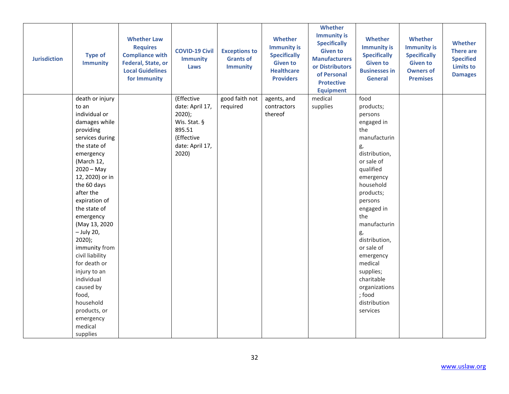| <b>Jurisdiction</b> | <b>Type of</b><br><b>Immunity</b>                                                                                                                                                                                                                                                                                                                                                                                                                                       | <b>Whether Law</b><br><b>Requires</b><br><b>Compliance with</b><br>Federal, State, or<br><b>Local Guidelines</b><br>for Immunity | <b>COVID-19 Civil</b><br><b>Immunity</b><br>Laws                                                               | <b>Exceptions to</b><br><b>Grants of</b><br><b>Immunity</b> | Whether<br><b>Immunity is</b><br><b>Specifically</b><br><b>Given to</b><br><b>Healthcare</b><br><b>Providers</b> | Whether<br><b>Immunity is</b><br><b>Specifically</b><br><b>Given to</b><br><b>Manufacturers</b><br>or Distributors<br>of Personal<br><b>Protective</b><br><b>Equipment</b> | Whether<br><b>Immunity is</b><br><b>Specifically</b><br><b>Given to</b><br><b>Businesses in</b><br><b>General</b>                                                                                                                                                                                                                                         | <b>Whether</b><br><b>Immunity is</b><br><b>Specifically</b><br><b>Given to</b><br><b>Owners of</b><br><b>Premises</b> | <b>Whether</b><br><b>There are</b><br><b>Specified</b><br><b>Limits to</b><br><b>Damages</b> |
|---------------------|-------------------------------------------------------------------------------------------------------------------------------------------------------------------------------------------------------------------------------------------------------------------------------------------------------------------------------------------------------------------------------------------------------------------------------------------------------------------------|----------------------------------------------------------------------------------------------------------------------------------|----------------------------------------------------------------------------------------------------------------|-------------------------------------------------------------|------------------------------------------------------------------------------------------------------------------|----------------------------------------------------------------------------------------------------------------------------------------------------------------------------|-----------------------------------------------------------------------------------------------------------------------------------------------------------------------------------------------------------------------------------------------------------------------------------------------------------------------------------------------------------|-----------------------------------------------------------------------------------------------------------------------|----------------------------------------------------------------------------------------------|
|                     | death or injury<br>to an<br>individual or<br>damages while<br>providing<br>services during<br>the state of<br>emergency<br>(March 12,<br>$2020 - May$<br>12, 2020) or in<br>the 60 days<br>after the<br>expiration of<br>the state of<br>emergency<br>(May 13, 2020<br>- July 20,<br>$2020$ );<br>immunity from<br>civil liability<br>for death or<br>injury to an<br>individual<br>caused by<br>food,<br>household<br>products, or<br>emergency<br>medical<br>supplies |                                                                                                                                  | (Effective<br>date: April 17,<br>$2020$ );<br>Wis. Stat. §<br>895.51<br>(Effective<br>date: April 17,<br>2020) | good faith not<br>required                                  | agents, and<br>contractors<br>thereof                                                                            | medical<br>supplies                                                                                                                                                        | food<br>products;<br>persons<br>engaged in<br>the<br>manufacturin<br>g,<br>distribution,<br>or sale of<br>qualified<br>emergency<br>household<br>products;<br>persons<br>engaged in<br>the<br>manufacturin<br>g,<br>distribution,<br>or sale of<br>emergency<br>medical<br>supplies;<br>charitable<br>organizations<br>; food<br>distribution<br>services |                                                                                                                       |                                                                                              |